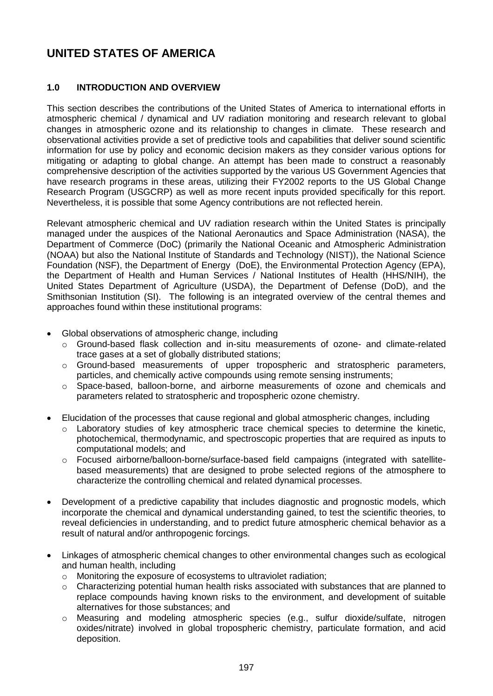# **UNITED STATES OF AMERICA**

# **1.0 INTRODUCTION AND OVERVIEW**

This section describes the contributions of the United States of America to international efforts in atmospheric chemical / dynamical and UV radiation monitoring and research relevant to global changes in atmospheric ozone and its relationship to changes in climate. These research and observational activities provide a set of predictive tools and capabilities that deliver sound scientific information for use by policy and economic decision makers as they consider various options for mitigating or adapting to global change. An attempt has been made to construct a reasonably comprehensive description of the activities supported by the various US Government Agencies that have research programs in these areas, utilizing their FY2002 reports to the US Global Change Research Program (USGCRP) as well as more recent inputs provided specifically for this report. Nevertheless, it is possible that some Agency contributions are not reflected herein.

Relevant atmospheric chemical and UV radiation research within the United States is principally managed under the auspices of the National Aeronautics and Space Administration (NASA), the Department of Commerce (DoC) (primarily the National Oceanic and Atmospheric Administration (NOAA) but also the National Institute of Standards and Technology (NIST)), the National Science Foundation (NSF), the Department of Energy (DoE), the Environmental Protection Agency (EPA), the Department of Health and Human Services / National Institutes of Health (HHS/NIH), the United States Department of Agriculture (USDA), the Department of Defense (DoD), and the Smithsonian Institution (SI). The following is an integrated overview of the central themes and approaches found within these institutional programs:

- Global observations of atmospheric change, including
	- o Ground-based flask collection and in-situ measurements of ozone- and climate-related trace gases at a set of globally distributed stations;
	- o Ground-based measurements of upper tropospheric and stratospheric parameters, particles, and chemically active compounds using remote sensing instruments;
	- o Space-based, balloon-borne, and airborne measurements of ozone and chemicals and parameters related to stratospheric and tropospheric ozone chemistry.
- Elucidation of the processes that cause regional and global atmospheric changes, including
	- $\circ$  Laboratory studies of key atmospheric trace chemical species to determine the kinetic, photochemical, thermodynamic, and spectroscopic properties that are required as inputs to computational models; and
	- o Focused airborne/balloon-borne/surface-based field campaigns (integrated with satellitebased measurements) that are designed to probe selected regions of the atmosphere to characterize the controlling chemical and related dynamical processes.
- Development of a predictive capability that includes diagnostic and prognostic models, which incorporate the chemical and dynamical understanding gained, to test the scientific theories, to reveal deficiencies in understanding, and to predict future atmospheric chemical behavior as a result of natural and/or anthropogenic forcings.
- Linkages of atmospheric chemical changes to other environmental changes such as ecological and human health, including
	- o Monitoring the exposure of ecosystems to ultraviolet radiation;
	- $\circ$  Characterizing potential human health risks associated with substances that are planned to replace compounds having known risks to the environment, and development of suitable alternatives for those substances; and
	- o Measuring and modeling atmospheric species (e.g., sulfur dioxide/sulfate, nitrogen oxides/nitrate) involved in global tropospheric chemistry, particulate formation, and acid deposition.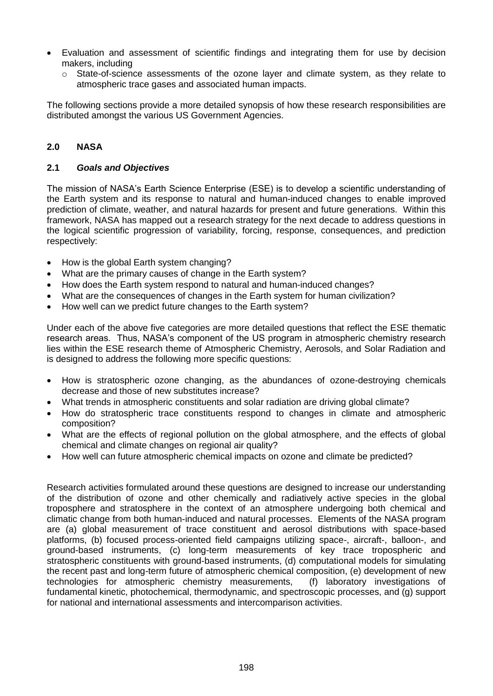- Evaluation and assessment of scientific findings and integrating them for use by decision makers, including
	- $\circ$  State-of-science assessments of the ozone layer and climate system, as they relate to atmospheric trace gases and associated human impacts.

The following sections provide a more detailed synopsis of how these research responsibilities are distributed amongst the various US Government Agencies.

# **2.0 NASA**

#### **2.1** *Goals and Objectives*

The mission of NASA's Earth Science Enterprise (ESE) is to develop a scientific understanding of the Earth system and its response to natural and human-induced changes to enable improved prediction of climate, weather, and natural hazards for present and future generations. Within this framework, NASA has mapped out a research strategy for the next decade to address questions in the logical scientific progression of variability, forcing, response, consequences, and prediction respectively:

- How is the global Earth system changing?
- What are the primary causes of change in the Earth system?
- How does the Earth system respond to natural and human-induced changes?
- What are the consequences of changes in the Earth system for human civilization?
- How well can we predict future changes to the Earth system?

Under each of the above five categories are more detailed questions that reflect the ESE thematic research areas. Thus, NASA's component of the US program in atmospheric chemistry research lies within the ESE research theme of Atmospheric Chemistry, Aerosols, and Solar Radiation and is designed to address the following more specific questions:

- How is stratospheric ozone changing, as the abundances of ozone-destroying chemicals decrease and those of new substitutes increase?
- What trends in atmospheric constituents and solar radiation are driving global climate?
- How do stratospheric trace constituents respond to changes in climate and atmospheric composition?
- What are the effects of regional pollution on the global atmosphere, and the effects of global chemical and climate changes on regional air quality?
- How well can future atmospheric chemical impacts on ozone and climate be predicted?

Research activities formulated around these questions are designed to increase our understanding of the distribution of ozone and other chemically and radiatively active species in the global troposphere and stratosphere in the context of an atmosphere undergoing both chemical and climatic change from both human-induced and natural processes. Elements of the NASA program are (a) global measurement of trace constituent and aerosol distributions with space-based platforms, (b) focused process-oriented field campaigns utilizing space-, aircraft-, balloon-, and ground-based instruments, (c) long-term measurements of key trace tropospheric and stratospheric constituents with ground-based instruments, (d) computational models for simulating the recent past and long-term future of atmospheric chemical composition, (e) development of new technologies for atmospheric chemistry measurements, (f) laboratory investigations of fundamental kinetic, photochemical, thermodynamic, and spectroscopic processes, and (g) support for national and international assessments and intercomparison activities.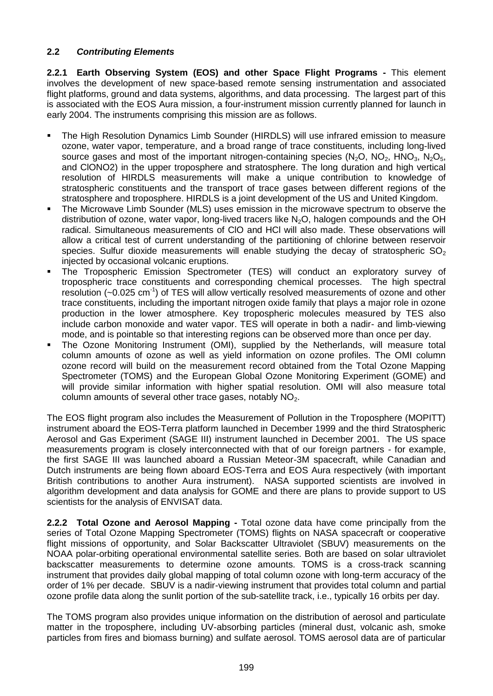## **2.2** *Contributing Elements*

**2.2.1 Earth Observing System (EOS) and other Space Flight Programs -** This element involves the development of new space-based remote sensing instrumentation and associated flight platforms, ground and data systems, algorithms, and data processing. The largest part of this is associated with the EOS Aura mission, a four-instrument mission currently planned for launch in early 2004. The instruments comprising this mission are as follows.

- The High Resolution Dynamics Limb Sounder (HIRDLS) will use infrared emission to measure ozone, water vapor, temperature, and a broad range of trace constituents, including long-lived source gases and most of the important nitrogen-containing species  $(N_2O, NO_2, HNO_3, N_2O_5,$ and ClONO2) in the upper troposphere and stratosphere. The long duration and high vertical resolution of HIRDLS measurements will make a unique contribution to knowledge of stratospheric constituents and the transport of trace gases between different regions of the stratosphere and troposphere. HIRDLS is a joint development of the US and United Kingdom.
- The Microwave Limb Sounder (MLS) uses emission in the microwave spectrum to observe the distribution of ozone, water vapor, long-lived tracers like  $N_2O$ , halogen compounds and the OH radical. Simultaneous measurements of ClO and HCl will also made. These observations will allow a critical test of current understanding of the partitioning of chlorine between reservoir species. Sulfur dioxide measurements will enable studying the decay of stratospheric  $SO<sub>2</sub>$ injected by occasional volcanic eruptions.
- The Tropospheric Emission Spectrometer (TES) will conduct an exploratory survey of tropospheric trace constituents and corresponding chemical processes. The high spectral resolution  $(-0.025 \text{ cm}^{-1})$  of TES will allow vertically resolved measurements of ozone and other trace constituents, including the important nitrogen oxide family that plays a major role in ozone production in the lower atmosphere. Key tropospheric molecules measured by TES also include carbon monoxide and water vapor. TES will operate in both a nadir- and limb-viewing mode, and is pointable so that interesting regions can be observed more than once per day.
- The Ozone Monitoring Instrument (OMI), supplied by the Netherlands, will measure total column amounts of ozone as well as yield information on ozone profiles. The OMI column ozone record will build on the measurement record obtained from the Total Ozone Mapping Spectrometer (TOMS) and the European Global Ozone Monitoring Experiment (GOME) and will provide similar information with higher spatial resolution. OMI will also measure total column amounts of several other trace gases, notably  $NO<sub>2</sub>$ .

The EOS flight program also includes the Measurement of Pollution in the Troposphere (MOPITT) instrument aboard the EOS-Terra platform launched in December 1999 and the third Stratospheric Aerosol and Gas Experiment (SAGE III) instrument launched in December 2001. The US space measurements program is closely interconnected with that of our foreign partners - for example, the first SAGE III was launched aboard a Russian Meteor-3M spacecraft, while Canadian and Dutch instruments are being flown aboard EOS-Terra and EOS Aura respectively (with important British contributions to another Aura instrument). NASA supported scientists are involved in algorithm development and data analysis for GOME and there are plans to provide support to US scientists for the analysis of ENVISAT data.

**2.2.2 Total Ozone and Aerosol Mapping -** Total ozone data have come principally from the series of Total Ozone Mapping Spectrometer (TOMS) flights on NASA spacecraft or cooperative flight missions of opportunity, and Solar Backscatter Ultraviolet (SBUV) measurements on the NOAA polar-orbiting operational environmental satellite series. Both are based on solar ultraviolet backscatter measurements to determine ozone amounts. TOMS is a cross-track scanning instrument that provides daily global mapping of total column ozone with long-term accuracy of the order of 1% per decade. SBUV is a nadir-viewing instrument that provides total column and partial ozone profile data along the sunlit portion of the sub-satellite track, i.e., typically 16 orbits per day.

The TOMS program also provides unique information on the distribution of aerosol and particulate matter in the troposphere, including UV-absorbing particles (mineral dust, volcanic ash, smoke particles from fires and biomass burning) and sulfate aerosol. TOMS aerosol data are of particular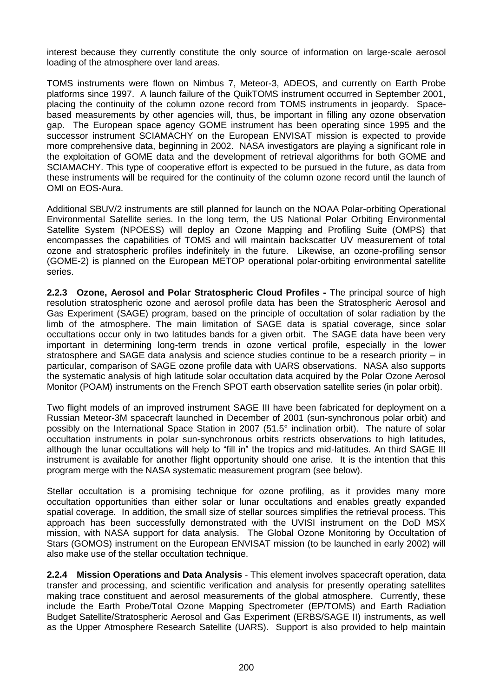interest because they currently constitute the only source of information on large-scale aerosol loading of the atmosphere over land areas.

TOMS instruments were flown on Nimbus 7, Meteor-3, ADEOS, and currently on Earth Probe platforms since 1997. A launch failure of the QuikTOMS instrument occurred in September 2001, placing the continuity of the column ozone record from TOMS instruments in jeopardy. Spacebased measurements by other agencies will, thus, be important in filling any ozone observation gap. The European space agency GOME instrument has been operating since 1995 and the successor instrument SCIAMACHY on the European ENVISAT mission is expected to provide more comprehensive data, beginning in 2002. NASA investigators are playing a significant role in the exploitation of GOME data and the development of retrieval algorithms for both GOME and SCIAMACHY. This type of cooperative effort is expected to be pursued in the future, as data from these instruments will be required for the continuity of the column ozone record until the launch of OMI on EOS-Aura.

Additional SBUV/2 instruments are still planned for launch on the NOAA Polar-orbiting Operational Environmental Satellite series. In the long term, the US National Polar Orbiting Environmental Satellite System (NPOESS) will deploy an Ozone Mapping and Profiling Suite (OMPS) that encompasses the capabilities of TOMS and will maintain backscatter UV measurement of total ozone and stratospheric profiles indefinitely in the future. Likewise, an ozone-profiling sensor (GOME-2) is planned on the European METOP operational polar-orbiting environmental satellite series.

**2.2.3 Ozone, Aerosol and Polar Stratospheric Cloud Profiles -** The principal source of high resolution stratospheric ozone and aerosol profile data has been the Stratospheric Aerosol and Gas Experiment (SAGE) program, based on the principle of occultation of solar radiation by the limb of the atmosphere. The main limitation of SAGE data is spatial coverage, since solar occultations occur only in two latitudes bands for a given orbit. The SAGE data have been very important in determining long-term trends in ozone vertical profile, especially in the lower stratosphere and SAGE data analysis and science studies continue to be a research priority – in particular, comparison of SAGE ozone profile data with UARS observations. NASA also supports the systematic analysis of high latitude solar occultation data acquired by the Polar Ozone Aerosol Monitor (POAM) instruments on the French SPOT earth observation satellite series (in polar orbit).

Two flight models of an improved instrument SAGE III have been fabricated for deployment on a Russian Meteor-3M spacecraft launched in December of 2001 (sun-synchronous polar orbit) and possibly on the International Space Station in 2007 (51.5° inclination orbit). The nature of solar occultation instruments in polar sun-synchronous orbits restricts observations to high latitudes, although the lunar occultations will help to "fill in" the tropics and mid-latitudes. An third SAGE III instrument is available for another flight opportunity should one arise. It is the intention that this program merge with the NASA systematic measurement program (see below).

Stellar occultation is a promising technique for ozone profiling, as it provides many more occultation opportunities than either solar or lunar occultations and enables greatly expanded spatial coverage. In addition, the small size of stellar sources simplifies the retrieval process. This approach has been successfully demonstrated with the UVISI instrument on the DoD MSX mission, with NASA support for data analysis. The Global Ozone Monitoring by Occultation of Stars (GOMOS) instrument on the European ENVISAT mission (to be launched in early 2002) will also make use of the stellar occultation technique.

**2.2.4 Mission Operations and Data Analysis** - This element involves spacecraft operation, data transfer and processing, and scientific verification and analysis for presently operating satellites making trace constituent and aerosol measurements of the global atmosphere. Currently, these include the Earth Probe/Total Ozone Mapping Spectrometer (EP/TOMS) and Earth Radiation Budget Satellite/Stratospheric Aerosol and Gas Experiment (ERBS/SAGE II) instruments, as well as the Upper Atmosphere Research Satellite (UARS). Support is also provided to help maintain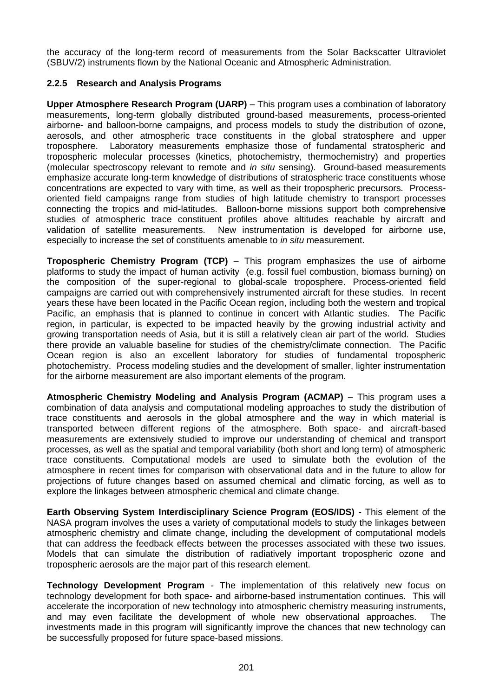the accuracy of the long-term record of measurements from the Solar Backscatter Ultraviolet (SBUV/2) instruments flown by the National Oceanic and Atmospheric Administration.

## **2.2.5 Research and Analysis Programs**

**Upper Atmosphere Research Program (UARP)** – This program uses a combination of laboratory measurements, long-term globally distributed ground-based measurements, process-oriented airborne- and balloon-borne campaigns, and process models to study the distribution of ozone, aerosols, and other atmospheric trace constituents in the global stratosphere and upper troposphere. Laboratory measurements emphasize those of fundamental stratospheric and tropospheric molecular processes (kinetics, photochemistry, thermochemistry) and properties (molecular spectroscopy relevant to remote and *in situ* sensing). Ground-based measurements emphasize accurate long-term knowledge of distributions of stratospheric trace constituents whose concentrations are expected to vary with time, as well as their tropospheric precursors. Processoriented field campaigns range from studies of high latitude chemistry to transport processes connecting the tropics and mid-latitudes. Balloon-borne missions support both comprehensive studies of atmospheric trace constituent profiles above altitudes reachable by aircraft and validation of satellite measurements. New instrumentation is developed for airborne use, especially to increase the set of constituents amenable to *in situ* measurement.

**Tropospheric Chemistry Program (TCP)** – This program emphasizes the use of airborne platforms to study the impact of human activity (e.g. fossil fuel combustion, biomass burning) on the composition of the super-regional to global-scale troposphere. Process-oriented field campaigns are carried out with comprehensively instrumented aircraft for these studies. In recent years these have been located in the Pacific Ocean region, including both the western and tropical Pacific, an emphasis that is planned to continue in concert with Atlantic studies. The Pacific region, in particular, is expected to be impacted heavily by the growing industrial activity and growing transportation needs of Asia, but it is still a relatively clean air part of the world. Studies there provide an valuable baseline for studies of the chemistry/climate connection. The Pacific Ocean region is also an excellent laboratory for studies of fundamental tropospheric photochemistry. Process modeling studies and the development of smaller, lighter instrumentation for the airborne measurement are also important elements of the program.

**Atmospheric Chemistry Modeling and Analysis Program (ACMAP)** – This program uses a combination of data analysis and computational modeling approaches to study the distribution of trace constituents and aerosols in the global atmosphere and the way in which material is transported between different regions of the atmosphere. Both space- and aircraft-based measurements are extensively studied to improve our understanding of chemical and transport processes, as well as the spatial and temporal variability (both short and long term) of atmospheric trace constituents. Computational models are used to simulate both the evolution of the atmosphere in recent times for comparison with observational data and in the future to allow for projections of future changes based on assumed chemical and climatic forcing, as well as to explore the linkages between atmospheric chemical and climate change.

**Earth Observing System Interdisciplinary Science Program (EOS/IDS)** - This element of the NASA program involves the uses a variety of computational models to study the linkages between atmospheric chemistry and climate change, including the development of computational models that can address the feedback effects between the processes associated with these two issues. Models that can simulate the distribution of radiatively important tropospheric ozone and tropospheric aerosols are the major part of this research element.

**Technology Development Program** - The implementation of this relatively new focus on technology development for both space- and airborne-based instrumentation continues. This will accelerate the incorporation of new technology into atmospheric chemistry measuring instruments, and may even facilitate the development of whole new observational approaches. The investments made in this program will significantly improve the chances that new technology can be successfully proposed for future space-based missions.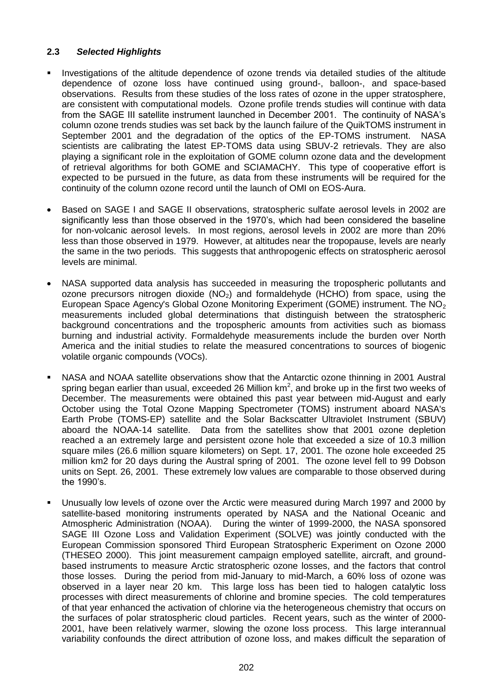## **2.3** *Selected Highlights*

- Investigations of the altitude dependence of ozone trends via detailed studies of the altitude dependence of ozone loss have continued using ground-, balloon-, and space-based observations. Results from these studies of the loss rates of ozone in the upper stratosphere, are consistent with computational models. Ozone profile trends studies will continue with data from the SAGE III satellite instrument launched in December 2001. The continuity of NASA's column ozone trends studies was set back by the launch failure of the QuikTOMS instrument in September 2001 and the degradation of the optics of the EP-TOMS instrument. NASA scientists are calibrating the latest EP-TOMS data using SBUV-2 retrievals. They are also playing a significant role in the exploitation of GOME column ozone data and the development of retrieval algorithms for both GOME and SCIAMACHY. This type of cooperative effort is expected to be pursued in the future, as data from these instruments will be required for the continuity of the column ozone record until the launch of OMI on EOS-Aura.
- Based on SAGE I and SAGE II observations, stratospheric sulfate aerosol levels in 2002 are significantly less than those observed in the 1970's, which had been considered the baseline for non-volcanic aerosol levels. In most regions, aerosol levels in 2002 are more than 20% less than those observed in 1979. However, at altitudes near the tropopause, levels are nearly the same in the two periods. This suggests that anthropogenic effects on stratospheric aerosol levels are minimal.
- NASA supported data analysis has succeeded in measuring the tropospheric pollutants and ozone precursors nitrogen dioxide  $(NO<sub>2</sub>)$  and formaldehyde  $(HCHO)$  from space, using the European Space Agency's Global Ozone Monitoring Experiment (GOME) instrument. The NO<sub>2</sub> measurements included global determinations that distinguish between the stratospheric background concentrations and the tropospheric amounts from activities such as biomass burning and industrial activity. Formaldehyde measurements include the burden over North America and the initial studies to relate the measured concentrations to sources of biogenic volatile organic compounds (VOCs).
- NASA and NOAA satellite observations show that the Antarctic ozone thinning in 2001 Austral spring began earlier than usual, exceeded 26 Million km<sup>2</sup>, and broke up in the first two weeks of December. The measurements were obtained this past year between mid-August and early October using the Total Ozone Mapping Spectrometer (TOMS) instrument aboard NASA's Earth Probe (TOMS-EP) satellite and the Solar Backscatter Ultraviolet Instrument (SBUV) aboard the NOAA-14 satellite. Data from the satellites show that 2001 ozone depletion reached a an extremely large and persistent ozone hole that exceeded a size of 10.3 million square miles (26.6 million square kilometers) on Sept. 17, 2001. The ozone hole exceeded 25 million km2 for 20 days during the Austral spring of 2001. The ozone level fell to 99 Dobson units on Sept. 26, 2001. These extremely low values are comparable to those observed during the 1990's.
- Unusually low levels of ozone over the Arctic were measured during March 1997 and 2000 by satellite-based monitoring instruments operated by NASA and the National Oceanic and Atmospheric Administration (NOAA). During the winter of 1999-2000, the NASA sponsored SAGE III Ozone Loss and Validation Experiment (SOLVE) was jointly conducted with the European Commission sponsored Third European Stratospheric Experiment on Ozone 2000 (THESEO 2000). This joint measurement campaign employed satellite, aircraft, and groundbased instruments to measure Arctic stratospheric ozone losses, and the factors that control those losses. During the period from mid-January to mid-March, a 60% loss of ozone was observed in a layer near 20 km. This large loss has been tied to halogen catalytic loss processes with direct measurements of chlorine and bromine species. The cold temperatures of that year enhanced the activation of chlorine via the heterogeneous chemistry that occurs on the surfaces of polar stratospheric cloud particles. Recent years, such as the winter of 2000- 2001, have been relatively warmer, slowing the ozone loss process. This large interannual variability confounds the direct attribution of ozone loss, and makes difficult the separation of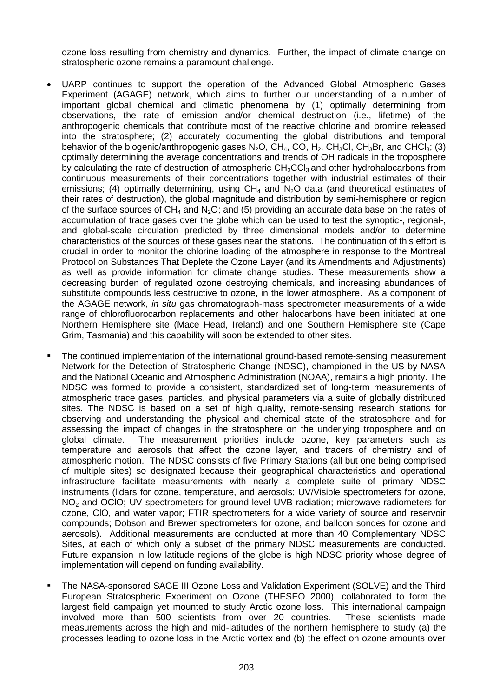ozone loss resulting from chemistry and dynamics. Further, the impact of climate change on stratospheric ozone remains a paramount challenge.

- UARP continues to support the operation of the Advanced Global Atmospheric Gases Experiment (AGAGE) network, which aims to further our understanding of a number of important global chemical and climatic phenomena by (1) optimally determining from observations, the rate of emission and/or chemical destruction (i.e., lifetime) of the anthropogenic chemicals that contribute most of the reactive chlorine and bromine released into the stratosphere; (2) accurately documenting the global distributions and temporal behavior of the biogenic/anthropogenic gases  $N_2O$ , CH<sub>4</sub>, CO, H<sub>2</sub>, CH<sub>3</sub>Cl, CH<sub>3</sub>Br, and CHCl<sub>3</sub>; (3) optimally determining the average concentrations and trends of OH radicals in the troposphere by calculating the rate of destruction of atmospheric  $CH<sub>3</sub>CCl<sub>3</sub>$  and other hydrohalocarbons from continuous measurements of their concentrations together with industrial estimates of their emissions; (4) optimally determining, using  $CH_4$  and  $N_2O$  data (and theoretical estimates of their rates of destruction), the global magnitude and distribution by semi-hemisphere or region of the surface sources of  $CH_4$  and N<sub>2</sub>O; and (5) providing an accurate data base on the rates of accumulation of trace gases over the globe which can be used to test the synoptic-, regional-, and global-scale circulation predicted by three dimensional models and/or to determine characteristics of the sources of these gases near the stations. The continuation of this effort is crucial in order to monitor the chlorine loading of the atmosphere in response to the Montreal Protocol on Substances That Deplete the Ozone Layer (and its Amendments and Adjustments) as well as provide information for climate change studies. These measurements show a decreasing burden of regulated ozone destroying chemicals, and increasing abundances of substitute compounds less destructive to ozone, in the lower atmosphere. As a component of the AGAGE network, *in situ* gas chromatograph-mass spectrometer measurements of a wide range of chlorofluorocarbon replacements and other halocarbons have been initiated at one Northern Hemisphere site (Mace Head, Ireland) and one Southern Hemisphere site (Cape Grim, Tasmania) and this capability will soon be extended to other sites.
- The continued implementation of the international ground-based remote-sensing measurement Network for the Detection of Stratospheric Change (NDSC), championed in the US by NASA and the National Oceanic and Atmospheric Administration (NOAA), remains a high priority. The NDSC was formed to provide a consistent, standardized set of long-term measurements of atmospheric trace gases, particles, and physical parameters via a suite of globally distributed sites. The NDSC is based on a set of high quality, remote-sensing research stations for observing and understanding the physical and chemical state of the stratosphere and for assessing the impact of changes in the stratosphere on the underlying troposphere and on global climate. The measurement priorities include ozone, key parameters such as temperature and aerosols that affect the ozone layer, and tracers of chemistry and of atmospheric motion. The NDSC consists of five Primary Stations (all but one being comprised of multiple sites) so designated because their geographical characteristics and operational infrastructure facilitate measurements with nearly a complete suite of primary NDSC instruments (lidars for ozone, temperature, and aerosols; UV/Visible spectrometers for ozone, NO<sub>2</sub> and OCIO; UV spectrometers for ground-level UVB radiation; microwave radiometers for ozone, ClO, and water vapor; FTIR spectrometers for a wide variety of source and reservoir compounds; Dobson and Brewer spectrometers for ozone, and balloon sondes for ozone and aerosols). Additional measurements are conducted at more than 40 Complementary NDSC Sites, at each of which only a subset of the primary NDSC measurements are conducted. Future expansion in low latitude regions of the globe is high NDSC priority whose degree of implementation will depend on funding availability.
- The NASA-sponsored SAGE III Ozone Loss and Validation Experiment (SOLVE) and the Third European Stratospheric Experiment on Ozone (THESEO 2000), collaborated to form the largest field campaign yet mounted to study Arctic ozone loss. This international campaign involved more than 500 scientists from over 20 countries. These scientists made measurements across the high and mid-latitudes of the northern hemisphere to study (a) the processes leading to ozone loss in the Arctic vortex and (b) the effect on ozone amounts over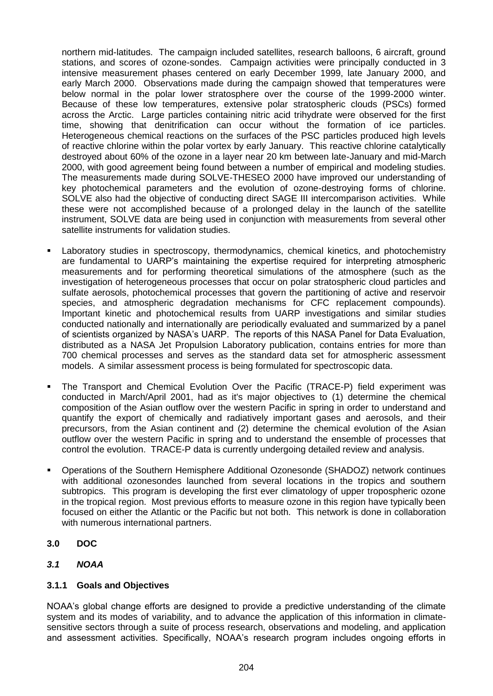northern mid-latitudes. The campaign included satellites, research balloons, 6 aircraft, ground stations, and scores of ozone-sondes. Campaign activities were principally conducted in 3 intensive measurement phases centered on early December 1999, late January 2000, and early March 2000. Observations made during the campaign showed that temperatures were below normal in the polar lower stratosphere over the course of the 1999-2000 winter. Because of these low temperatures, extensive polar stratospheric clouds (PSCs) formed across the Arctic. Large particles containing nitric acid trihydrate were observed for the first time, showing that denitrification can occur without the formation of ice particles. Heterogeneous chemical reactions on the surfaces of the PSC particles produced high levels of reactive chlorine within the polar vortex by early January. This reactive chlorine catalytically destroyed about 60% of the ozone in a layer near 20 km between late-January and mid-March 2000, with good agreement being found between a number of empirical and modeling studies. The measurements made during SOLVE-THESEO 2000 have improved our understanding of key photochemical parameters and the evolution of ozone-destroying forms of chlorine. SOLVE also had the objective of conducting direct SAGE III intercomparison activities. While these were not accomplished because of a prolonged delay in the launch of the satellite instrument, SOLVE data are being used in conjunction with measurements from several other satellite instruments for validation studies.

- Laboratory studies in spectroscopy, thermodynamics, chemical kinetics, and photochemistry are fundamental to UARP's maintaining the expertise required for interpreting atmospheric measurements and for performing theoretical simulations of the atmosphere (such as the investigation of heterogeneous processes that occur on polar stratospheric cloud particles and sulfate aerosols, photochemical processes that govern the partitioning of active and reservoir species, and atmospheric degradation mechanisms for CFC replacement compounds). Important kinetic and photochemical results from UARP investigations and similar studies conducted nationally and internationally are periodically evaluated and summarized by a panel of scientists organized by NASA's UARP. The reports of this NASA Panel for Data Evaluation, distributed as a NASA Jet Propulsion Laboratory publication, contains entries for more than 700 chemical processes and serves as the standard data set for atmospheric assessment models. A similar assessment process is being formulated for spectroscopic data.
- The Transport and Chemical Evolution Over the Pacific (TRACE-P) field experiment was conducted in March/April 2001, had as it's major objectives to (1) determine the chemical composition of the Asian outflow over the western Pacific in spring in order to understand and quantify the export of chemically and radiatively important gases and aerosols, and their precursors, from the Asian continent and (2) determine the chemical evolution of the Asian outflow over the western Pacific in spring and to understand the ensemble of processes that control the evolution. TRACE-P data is currently undergoing detailed review and analysis.
- Operations of the Southern Hemisphere Additional Ozonesonde (SHADOZ) network continues with additional ozonesondes launched from several locations in the tropics and southern subtropics. This program is developing the first ever climatology of upper tropospheric ozone in the tropical region. Most previous efforts to measure ozone in this region have typically been focused on either the Atlantic or the Pacific but not both. This network is done in collaboration with numerous international partners.
- **3.0 DOC**
- *3.1 NOAA*

# **3.1.1 Goals and Objectives**

NOAA's global change efforts are designed to provide a predictive understanding of the climate system and its modes of variability, and to advance the application of this information in climatesensitive sectors through a suite of process research, observations and modeling, and application and assessment activities. Specifically, NOAA's research program includes ongoing efforts in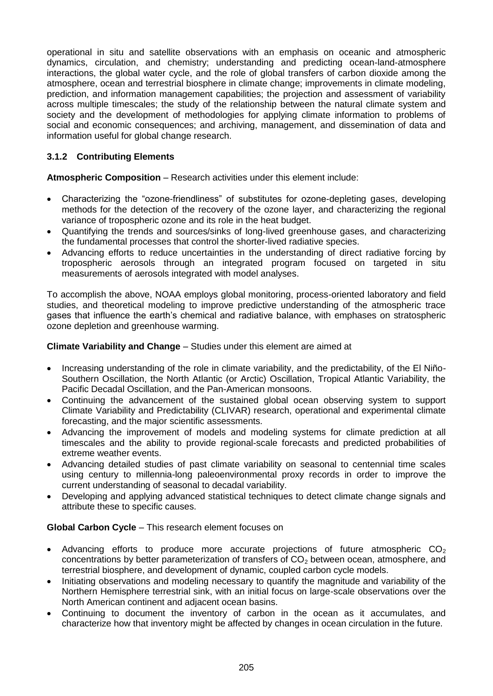operational in situ and satellite observations with an emphasis on oceanic and atmospheric dynamics, circulation, and chemistry; understanding and predicting ocean-land-atmosphere interactions, the global water cycle, and the role of global transfers of carbon dioxide among the atmosphere, ocean and terrestrial biosphere in climate change; improvements in climate modeling, prediction, and information management capabilities; the projection and assessment of variability across multiple timescales; the study of the relationship between the natural climate system and society and the development of methodologies for applying climate information to problems of social and economic consequences; and archiving, management, and dissemination of data and information useful for global change research.

# **3.1.2 Contributing Elements**

**Atmospheric Composition** – Research activities under this element include:

- Characterizing the "ozone-friendliness" of substitutes for ozone-depleting gases, developing methods for the detection of the recovery of the ozone layer, and characterizing the regional variance of tropospheric ozone and its role in the heat budget.
- Quantifying the trends and sources/sinks of long-lived greenhouse gases, and characterizing the fundamental processes that control the shorter-lived radiative species.
- Advancing efforts to reduce uncertainties in the understanding of direct radiative forcing by tropospheric aerosols through an integrated program focused on targeted in situ measurements of aerosols integrated with model analyses.

To accomplish the above, NOAA employs global monitoring, process-oriented laboratory and field studies, and theoretical modeling to improve predictive understanding of the atmospheric trace gases that influence the earth's chemical and radiative balance, with emphases on stratospheric ozone depletion and greenhouse warming.

## **Climate Variability and Change** – Studies under this element are aimed at

- Increasing understanding of the role in climate variability, and the predictability, of the El Niño-Southern Oscillation, the North Atlantic (or Arctic) Oscillation, Tropical Atlantic Variability, the Pacific Decadal Oscillation, and the Pan-American monsoons.
- Continuing the advancement of the sustained global ocean observing system to support Climate Variability and Predictability (CLIVAR) research, operational and experimental climate forecasting, and the major scientific assessments.
- Advancing the improvement of models and modeling systems for climate prediction at all timescales and the ability to provide regional-scale forecasts and predicted probabilities of extreme weather events.
- Advancing detailed studies of past climate variability on seasonal to centennial time scales using century to millennia-long paleoenvironmental proxy records in order to improve the current understanding of seasonal to decadal variability.
- Developing and applying advanced statistical techniques to detect climate change signals and attribute these to specific causes.

#### **Global Carbon Cycle** – This research element focuses on

- Advancing efforts to produce more accurate projections of future atmospheric  $CO<sub>2</sub>$ concentrations by better parameterization of transfers of  $CO<sub>2</sub>$  between ocean, atmosphere, and terrestrial biosphere, and development of dynamic, coupled carbon cycle models.
- Initiating observations and modeling necessary to quantify the magnitude and variability of the Northern Hemisphere terrestrial sink, with an initial focus on large-scale observations over the North American continent and adjacent ocean basins.
- Continuing to document the inventory of carbon in the ocean as it accumulates, and characterize how that inventory might be affected by changes in ocean circulation in the future.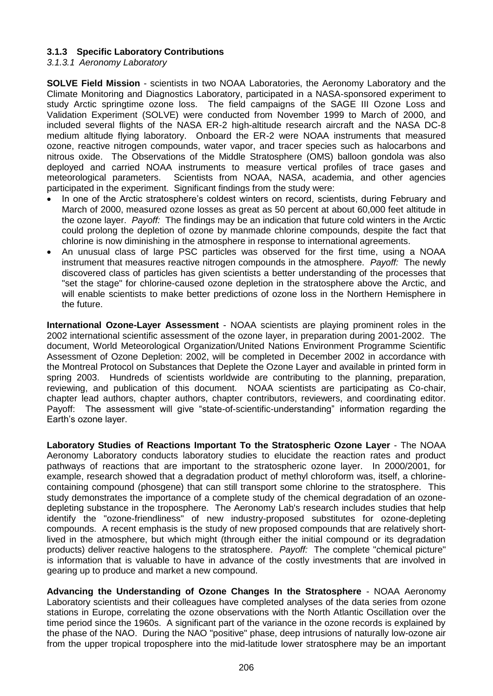## **3.1.3 Specific Laboratory Contributions**

*3.1.3.1 Aeronomy Laboratory*

**SOLVE Field Mission** - scientists in two NOAA Laboratories, the Aeronomy Laboratory and the Climate Monitoring and Diagnostics Laboratory, participated in a NASA-sponsored experiment to study Arctic springtime ozone loss. The field campaigns of the SAGE III Ozone Loss and Validation Experiment (SOLVE) were conducted from November 1999 to March of 2000, and included several flights of the NASA ER-2 high-altitude research aircraft and the NASA DC-8 medium altitude flying laboratory. Onboard the ER-2 were NOAA instruments that measured ozone, reactive nitrogen compounds, water vapor, and tracer species such as halocarbons and nitrous oxide. The Observations of the Middle Stratosphere (OMS) balloon gondola was also deployed and carried NOAA instruments to measure vertical profiles of trace gases and meteorological parameters. Scientists from NOAA, NASA, academia, and other agencies participated in the experiment. Significant findings from the study were:

- In one of the Arctic stratosphere's coldest winters on record, scientists, during February and March of 2000, measured ozone losses as great as 50 percent at about 60,000 feet altitude in the ozone layer. *Payoff:* The findings may be an indication that future cold winters in the Arctic could prolong the depletion of ozone by manmade chlorine compounds, despite the fact that chlorine is now diminishing in the atmosphere in response to international agreements.
- An unusual class of large PSC particles was observed for the first time, using a NOAA instrument that measures reactive nitrogen compounds in the atmosphere. *Payoff:* The newly discovered class of particles has given scientists a better understanding of the processes that "set the stage" for chlorine-caused ozone depletion in the stratosphere above the Arctic, and will enable scientists to make better predictions of ozone loss in the Northern Hemisphere in the future.

**International Ozone-Layer Assessment** - NOAA scientists are playing prominent roles in the 2002 international scientific assessment of the ozone layer, in preparation during 2001-2002. The document, World Meteorological Organization/United Nations Environment Programme Scientific Assessment of Ozone Depletion: 2002, will be completed in December 2002 in accordance with the Montreal Protocol on Substances that Deplete the Ozone Layer and available in printed form in spring 2003. Hundreds of scientists worldwide are contributing to the planning, preparation, reviewing, and publication of this document. NOAA scientists are participating as Co-chair, chapter lead authors, chapter authors, chapter contributors, reviewers, and coordinating editor. Payoff: The assessment will give "state-of-scientific-understanding" information regarding the Earth's ozone layer.

**Laboratory Studies of Reactions Important To the Stratospheric Ozone Layer** - The NOAA Aeronomy Laboratory conducts laboratory studies to elucidate the reaction rates and product pathways of reactions that are important to the stratospheric ozone layer. In 2000/2001, for example, research showed that a degradation product of methyl chloroform was, itself, a chlorinecontaining compound (phosgene) that can still transport some chlorine to the stratosphere. This study demonstrates the importance of a complete study of the chemical degradation of an ozonedepleting substance in the troposphere. The Aeronomy Lab's research includes studies that help identify the "ozone-friendliness" of new industry-proposed substitutes for ozone-depleting compounds. A recent emphasis is the study of new proposed compounds that are relatively shortlived in the atmosphere, but which might (through either the initial compound or its degradation products) deliver reactive halogens to the stratosphere. *Payoff:* The complete "chemical picture" is information that is valuable to have in advance of the costly investments that are involved in gearing up to produce and market a new compound.

**Advancing the Understanding of Ozone Changes In the Stratosphere** - NOAA Aeronomy Laboratory scientists and their colleagues have completed analyses of the data series from ozone stations in Europe, correlating the ozone observations with the North Atlantic Oscillation over the time period since the 1960s. A significant part of the variance in the ozone records is explained by the phase of the NAO. During the NAO "positive" phase, deep intrusions of naturally low-ozone air from the upper tropical troposphere into the mid-latitude lower stratosphere may be an important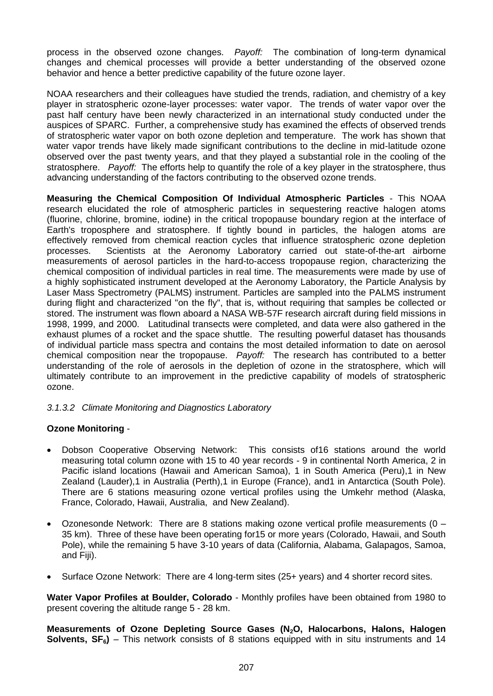process in the observed ozone changes. *Payoff:* The combination of long-term dynamical changes and chemical processes will provide a better understanding of the observed ozone behavior and hence a better predictive capability of the future ozone layer.

NOAA researchers and their colleagues have studied the trends, radiation, and chemistry of a key player in stratospheric ozone-layer processes: water vapor. The trends of water vapor over the past half century have been newly characterized in an international study conducted under the auspices of SPARC. Further, a comprehensive study has examined the effects of observed trends of stratospheric water vapor on both ozone depletion and temperature. The work has shown that water vapor trends have likely made significant contributions to the decline in mid-latitude ozone observed over the past twenty years, and that they played a substantial role in the cooling of the stratosphere. *Payoff:* The efforts help to quantify the role of a key player in the stratosphere, thus advancing understanding of the factors contributing to the observed ozone trends.

**Measuring the Chemical Composition Of Individual Atmospheric Particles** - This NOAA research elucidated the role of atmospheric particles in sequestering reactive halogen atoms (fluorine, chlorine, bromine, iodine) in the critical tropopause boundary region at the interface of Earth's troposphere and stratosphere. If tightly bound in particles, the halogen atoms are effectively removed from chemical reaction cycles that influence stratospheric ozone depletion processes. Scientists at the Aeronomy Laboratory carried out state-of-the-art airborne measurements of aerosol particles in the hard-to-access tropopause region, characterizing the chemical composition of individual particles in real time. The measurements were made by use of a highly sophisticated instrument developed at the Aeronomy Laboratory, the Particle Analysis by Laser Mass Spectrometry (PALMS) instrument. Particles are sampled into the PALMS instrument during flight and characterized "on the fly", that is, without requiring that samples be collected or stored. The instrument was flown aboard a NASA WB-57F research aircraft during field missions in 1998, 1999, and 2000. Latitudinal transects were completed, and data were also gathered in the exhaust plumes of a rocket and the space shuttle. The resulting powerful dataset has thousands of individual particle mass spectra and contains the most detailed information to date on aerosol chemical composition near the tropopause. *Payoff:* The research has contributed to a better understanding of the role of aerosols in the depletion of ozone in the stratosphere, which will ultimately contribute to an improvement in the predictive capability of models of stratospheric ozone.

# *3.1.3.2 Climate Monitoring and Diagnostics Laboratory*

#### **Ozone Monitoring** -

- Dobson Cooperative Observing Network: This consists of16 stations around the world measuring total column ozone with 15 to 40 year records - 9 in continental North America, 2 in Pacific island locations (Hawaii and American Samoa), 1 in South America (Peru),1 in New Zealand (Lauder),1 in Australia (Perth),1 in Europe (France), and1 in Antarctica (South Pole). There are 6 stations measuring ozone vertical profiles using the Umkehr method (Alaska, France, Colorado, Hawaii, Australia, and New Zealand).
- Ozonesonde Network: There are 8 stations making ozone vertical profile measurements (0 35 km). Three of these have been operating for15 or more years (Colorado, Hawaii, and South Pole), while the remaining 5 have 3-10 years of data (California, Alabama, Galapagos, Samoa, and Fiji).
- Surface Ozone Network: There are 4 long-term sites (25+ years) and 4 shorter record sites.

**Water Vapor Profiles at Boulder, Colorado** - Monthly profiles have been obtained from 1980 to present covering the altitude range 5 - 28 km.

**Measurements of Ozone Depleting Source Gases (N2O, Halocarbons, Halons, Halogen Solvents, SF6)** – This network consists of 8 stations equipped with in situ instruments and 14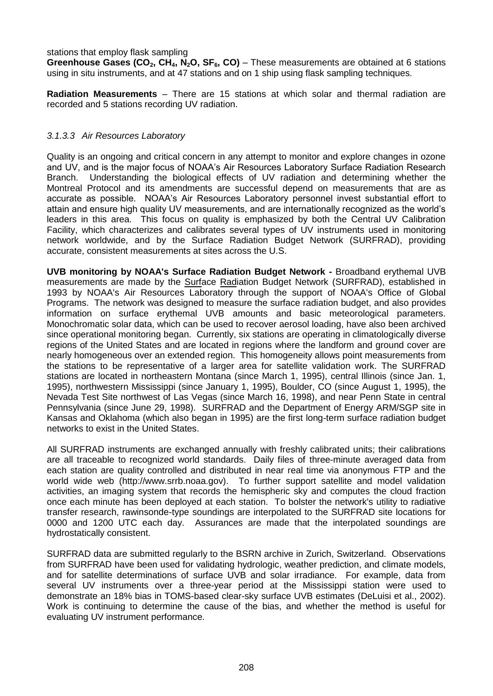#### stations that employ flask sampling

**Greenhouse Gases (CO2, CH4, N2O, SF6, CO)** – These measurements are obtained at 6 stations using in situ instruments, and at 47 stations and on 1 ship using flask sampling techniques.

**Radiation Measurements** – There are 15 stations at which solar and thermal radiation are recorded and 5 stations recording UV radiation.

#### *3.1.3.3 Air Resources Laboratory*

Quality is an ongoing and critical concern in any attempt to monitor and explore changes in ozone and UV, and is the major focus of NOAA's Air Resources Laboratory Surface Radiation Research Branch. Understanding the biological effects of UV radiation and determining whether the Montreal Protocol and its amendments are successful depend on measurements that are as accurate as possible. NOAA's Air Resources Laboratory personnel invest substantial effort to attain and ensure high quality UV measurements, and are internationally recognized as the world's leaders in this area. This focus on quality is emphasized by both the Central UV Calibration Facility, which characterizes and calibrates several types of UV instruments used in monitoring network worldwide, and by the Surface Radiation Budget Network (SURFRAD), providing accurate, consistent measurements at sites across the U.S.

**UVB monitoring by NOAA's Surface Radiation Budget Network -** Broadband erythemal UVB measurements are made by the Surface Radiation Budget Network (SURFRAD), established in 1993 by NOAA's Air Resources Laboratory through the support of NOAA's Office of Global Programs. The network was designed to measure the surface radiation budget, and also provides information on surface erythemal UVB amounts and basic meteorological parameters. Monochromatic solar data, which can be used to recover aerosol loading, have also been archived since operational monitoring began. Currently, six stations are operating in climatologically diverse regions of the United States and are located in regions where the landform and ground cover are nearly homogeneous over an extended region. This homogeneity allows point measurements from the stations to be representative of a larger area for satellite validation work. The SURFRAD stations are located in northeastern Montana (since March 1, 1995), central Illinois (since Jan. 1, 1995), northwestern Mississippi (since January 1, 1995), Boulder, CO (since August 1, 1995), the Nevada Test Site northwest of Las Vegas (since March 16, 1998), and near Penn State in central Pennsylvania (since June 29, 1998). SURFRAD and the Department of Energy ARM/SGP site in Kansas and Oklahoma (which also began in 1995) are the first long-term surface radiation budget networks to exist in the United States.

All SURFRAD instruments are exchanged annually with freshly calibrated units; their calibrations are all traceable to recognized world standards. Daily files of three-minute averaged data from each station are quality controlled and distributed in near real time via anonymous FTP and the world wide web (http://www.srrb.noaa.gov). To further support satellite and model validation activities, an imaging system that records the hemispheric sky and computes the cloud fraction once each minute has been deployed at each station. To bolster the network's utility to radiative transfer research, rawinsonde-type soundings are interpolated to the SURFRAD site locations for 0000 and 1200 UTC each day. Assurances are made that the interpolated soundings are hydrostatically consistent.

SURFRAD data are submitted regularly to the BSRN archive in Zurich, Switzerland. Observations from SURFRAD have been used for validating hydrologic, weather prediction, and climate models, and for satellite determinations of surface UVB and solar irradiance. For example, data from several UV instruments over a three-year period at the Mississippi station were used to demonstrate an 18% bias in TOMS-based clear-sky surface UVB estimates (DeLuisi et al., 2002). Work is continuing to determine the cause of the bias, and whether the method is useful for evaluating UV instrument performance.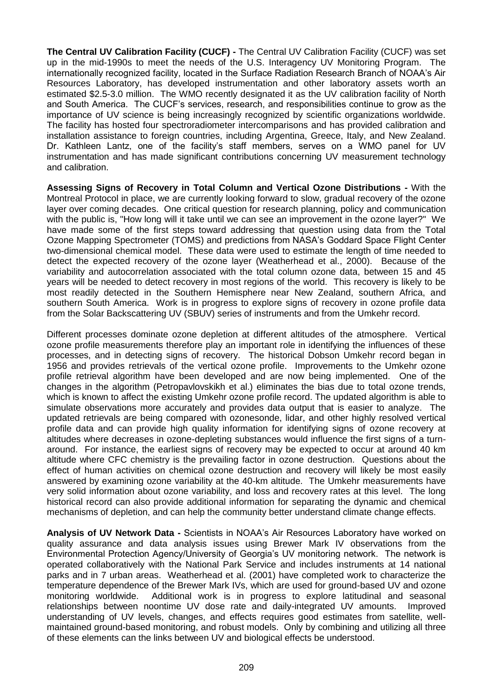**The Central UV Calibration Facility (CUCF) -** The Central UV Calibration Facility (CUCF) was set up in the mid-1990s to meet the needs of the U.S. Interagency UV Monitoring Program. The internationally recognized facility, located in the Surface Radiation Research Branch of NOAA's Air Resources Laboratory, has developed instrumentation and other laboratory assets worth an estimated \$2.5-3.0 million. The WMO recently designated it as the UV calibration facility of North and South America. The CUCF's services, research, and responsibilities continue to grow as the importance of UV science is being increasingly recognized by scientific organizations worldwide. The facility has hosted four spectroradiometer intercomparisons and has provided calibration and installation assistance to foreign countries, including Argentina, Greece, Italy, and New Zealand. Dr. Kathleen Lantz, one of the facility's staff members, serves on a WMO panel for UV instrumentation and has made significant contributions concerning UV measurement technology and calibration.

**Assessing Signs of Recovery in Total Column and Vertical Ozone Distributions -** With the Montreal Protocol in place, we are currently looking forward to slow, gradual recovery of the ozone layer over coming decades. One critical question for research planning, policy and communication with the public is, "How long will it take until we can see an improvement in the ozone layer?" We have made some of the first steps toward addressing that question using data from the Total Ozone Mapping Spectrometer (TOMS) and predictions from NASA's Goddard Space Flight Center two-dimensional chemical model. These data were used to estimate the length of time needed to detect the expected recovery of the ozone layer (Weatherhead et al., 2000). Because of the variability and autocorrelation associated with the total column ozone data, between 15 and 45 years will be needed to detect recovery in most regions of the world. This recovery is likely to be most readily detected in the Southern Hemisphere near New Zealand, southern Africa, and southern South America. Work is in progress to explore signs of recovery in ozone profile data from the Solar Backscattering UV (SBUV) series of instruments and from the Umkehr record.

Different processes dominate ozone depletion at different altitudes of the atmosphere. Vertical ozone profile measurements therefore play an important role in identifying the influences of these processes, and in detecting signs of recovery. The historical Dobson Umkehr record began in 1956 and provides retrievals of the vertical ozone profile. Improvements to the Umkehr ozone profile retrieval algorithm have been developed and are now being implemented. One of the changes in the algorithm (Petropavlovskikh et al.) eliminates the bias due to total ozone trends, which is known to affect the existing Umkehr ozone profile record. The updated algorithm is able to simulate observations more accurately and provides data output that is easier to analyze. The updated retrievals are being compared with ozonesonde, lidar, and other highly resolved vertical profile data and can provide high quality information for identifying signs of ozone recovery at altitudes where decreases in ozone-depleting substances would influence the first signs of a turnaround. For instance, the earliest signs of recovery may be expected to occur at around 40 km altitude where CFC chemistry is the prevailing factor in ozone destruction. Questions about the effect of human activities on chemical ozone destruction and recovery will likely be most easily answered by examining ozone variability at the 40-km altitude. The Umkehr measurements have very solid information about ozone variability, and loss and recovery rates at this level. The long historical record can also provide additional information for separating the dynamic and chemical mechanisms of depletion, and can help the community better understand climate change effects.

**Analysis of UV Network Data -** Scientists in NOAA's Air Resources Laboratory have worked on quality assurance and data analysis issues using Brewer Mark IV observations from the Environmental Protection Agency/University of Georgia's UV monitoring network. The network is operated collaboratively with the National Park Service and includes instruments at 14 national parks and in 7 urban areas. Weatherhead et al. (2001) have completed work to characterize the temperature dependence of the Brewer Mark IVs, which are used for ground-based UV and ozone monitoring worldwide. Additional work is in progress to explore latitudinal and seasonal relationships between noontime UV dose rate and daily-integrated UV amounts. Improved understanding of UV levels, changes, and effects requires good estimates from satellite, wellmaintained ground-based monitoring, and robust models. Only by combining and utilizing all three of these elements can the links between UV and biological effects be understood.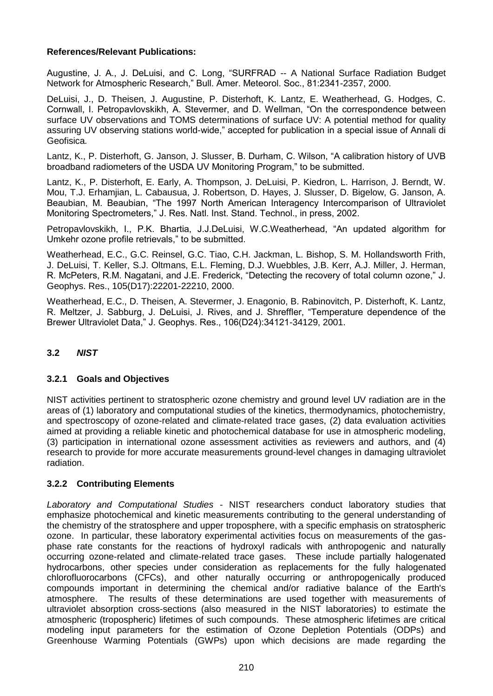## **References/Relevant Publications:**

Augustine, J. A., J. DeLuisi, and C. Long, "SURFRAD -- A National Surface Radiation Budget Network for Atmospheric Research," Bull. Amer. Meteorol. Soc., 81:2341-2357, 2000.

DeLuisi, J., D. Theisen, J. Augustine, P. Disterhoft, K. Lantz, E. Weatherhead, G. Hodges, C. Cornwall, I. Petropavlovskikh, A. Stevermer, and D. Wellman, "On the correspondence between surface UV observations and TOMS determinations of surface UV: A potential method for quality assuring UV observing stations world-wide," accepted for publication in a special issue of Annali di Geofisica*.*

Lantz, K., P. Disterhoft, G. Janson, J. Slusser, B. Durham, C. Wilson, "A calibration history of UVB broadband radiometers of the USDA UV Monitoring Program," to be submitted.

Lantz, K., P. Disterhoft, E. Early, A. Thompson, J. DeLuisi, P. Kiedron, L. Harrison, J. Berndt, W. Mou, T.J. Erhamjian, L. Cabausua, J. Robertson, D. Hayes, J. Slusser, D. Bigelow, G. Janson, A. Beaubian, M. Beaubian, "The 1997 North American Interagency Intercomparison of Ultraviolet Monitoring Spectrometers," J. Res. Natl. Inst. Stand. Technol., in press, 2002.

Petropavlovskikh, I., P.K. Bhartia, J.J.DeLuisi, W.C.Weatherhead, "An updated algorithm for Umkehr ozone profile retrievals," to be submitted.

Weatherhead, E.C., G.C. Reinsel, G.C. Tiao, C.H. Jackman, L. Bishop, S. M. Hollandsworth Frith, J. DeLuisi, T. Keller, S.J. Oltmans, E.L. Fleming, D.J. Wuebbles, J.B. Kerr, A.J. Miller, J. Herman, R. McPeters, R.M. Nagatani, and J.E. Frederick, "Detecting the recovery of total column ozone," J. Geophys. Res., 105(D17):22201-22210, 2000.

Weatherhead, E.C., D. Theisen, A. Stevermer, J. Enagonio, B. Rabinovitch, P. Disterhoft, K. Lantz, R. Meltzer, J. Sabburg, J. DeLuisi, J. Rives, and J. Shreffler, "Temperature dependence of the Brewer Ultraviolet Data," J. Geophys. Res., 106(D24):34121-34129, 2001.

# **3.2** *NIST*

#### **3.2.1 Goals and Objectives**

NIST activities pertinent to stratospheric ozone chemistry and ground level UV radiation are in the areas of (1) laboratory and computational studies of the kinetics, thermodynamics, photochemistry, and spectroscopy of ozone-related and climate-related trace gases, (2) data evaluation activities aimed at providing a reliable kinetic and photochemical database for use in atmospheric modeling, (3) participation in international ozone assessment activities as reviewers and authors, and (4) research to provide for more accurate measurements ground-level changes in damaging ultraviolet radiation.

# **3.2.2 Contributing Elements**

*Laboratory and Computational Studies* - NIST researchers conduct laboratory studies that emphasize photochemical and kinetic measurements contributing to the general understanding of the chemistry of the stratosphere and upper troposphere, with a specific emphasis on stratospheric ozone. In particular, these laboratory experimental activities focus on measurements of the gasphase rate constants for the reactions of hydroxyl radicals with anthropogenic and naturally occurring ozone-related and climate-related trace gases. These include partially halogenated hydrocarbons, other species under consideration as replacements for the fully halogenated chlorofluorocarbons (CFCs), and other naturally occurring or anthropogenically produced compounds important in determining the chemical and/or radiative balance of the Earth's atmosphere. The results of these determinations are used together with measurements of ultraviolet absorption cross-sections (also measured in the NIST laboratories) to estimate the atmospheric (tropospheric) lifetimes of such compounds. These atmospheric lifetimes are critical modeling input parameters for the estimation of Ozone Depletion Potentials (ODPs) and Greenhouse Warming Potentials (GWPs) upon which decisions are made regarding the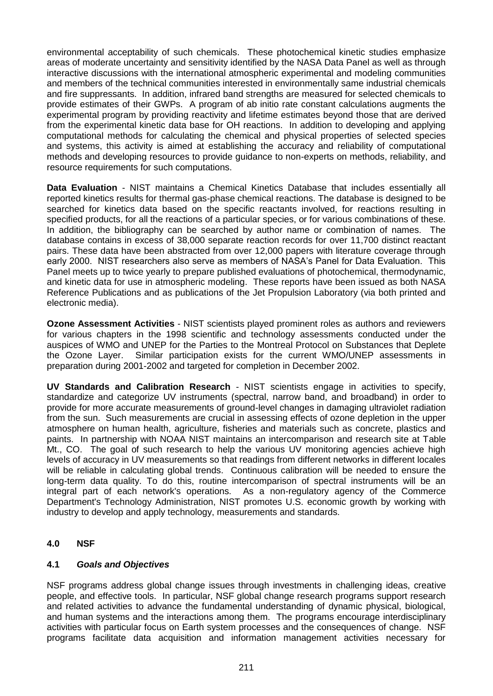environmental acceptability of such chemicals. These photochemical kinetic studies emphasize areas of moderate uncertainty and sensitivity identified by the NASA Data Panel as well as through interactive discussions with the international atmospheric experimental and modeling communities and members of the technical communities interested in environmentally same industrial chemicals and fire suppressants. In addition, infrared band strengths are measured for selected chemicals to provide estimates of their GWPs. A program of ab initio rate constant calculations augments the experimental program by providing reactivity and lifetime estimates beyond those that are derived from the experimental kinetic data base for OH reactions. In addition to developing and applying computational methods for calculating the chemical and physical properties of selected species and systems, this activity is aimed at establishing the accuracy and reliability of computational methods and developing resources to provide guidance to non-experts on methods, reliability, and resource requirements for such computations.

**Data Evaluation** - NIST maintains a Chemical Kinetics Database that includes essentially all reported kinetics results for thermal gas-phase chemical reactions. The database is designed to be searched for kinetics data based on the specific reactants involved, for reactions resulting in specified products, for all the reactions of a particular species, or for various combinations of these. In addition, the bibliography can be searched by author name or combination of names. The database contains in excess of 38,000 separate reaction records for over 11,700 distinct reactant pairs. These data have been abstracted from over 12,000 papers with literature coverage through early 2000. NIST researchers also serve as members of NASA's Panel for Data Evaluation. This Panel meets up to twice yearly to prepare published evaluations of photochemical, thermodynamic, and kinetic data for use in atmospheric modeling. These reports have been issued as both NASA Reference Publications and as publications of the Jet Propulsion Laboratory (via both printed and electronic media).

**Ozone Assessment Activities** - NIST scientists played prominent roles as authors and reviewers for various chapters in the 1998 scientific and technology assessments conducted under the auspices of WMO and UNEP for the Parties to the Montreal Protocol on Substances that Deplete the Ozone Layer. Similar participation exists for the current WMO/UNEP assessments in preparation during 2001-2002 and targeted for completion in December 2002.

**UV Standards and Calibration Research** - NIST scientists engage in activities to specify, standardize and categorize UV instruments (spectral, narrow band, and broadband) in order to provide for more accurate measurements of ground-level changes in damaging ultraviolet radiation from the sun. Such measurements are crucial in assessing effects of ozone depletion in the upper atmosphere on human health, agriculture, fisheries and materials such as concrete, plastics and paints. In partnership with NOAA NIST maintains an intercomparison and research site at Table Mt., CO. The goal of such research to help the various UV monitoring agencies achieve high levels of accuracy in UV measurements so that readings from different networks in different locales will be reliable in calculating global trends. Continuous calibration will be needed to ensure the long-term data quality. To do this, routine intercomparison of spectral instruments will be an integral part of each network's operations. As a non-regulatory agency of the Commerce Department's Technology Administration, NIST promotes U.S. economic growth by working with industry to develop and apply technology, measurements and standards.

#### **4.0 NSF**

#### **4.1** *Goals and Objectives*

NSF programs address global change issues through investments in challenging ideas, creative people, and effective tools. In particular, NSF global change research programs support research and related activities to advance the fundamental understanding of dynamic physical, biological, and human systems and the interactions among them. The programs encourage interdisciplinary activities with particular focus on Earth system processes and the consequences of change. NSF programs facilitate data acquisition and information management activities necessary for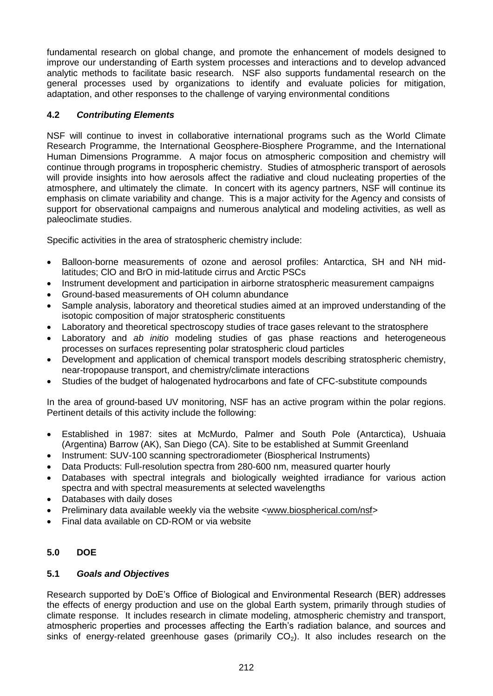fundamental research on global change, and promote the enhancement of models designed to improve our understanding of Earth system processes and interactions and to develop advanced analytic methods to facilitate basic research. NSF also supports fundamental research on the general processes used by organizations to identify and evaluate policies for mitigation, adaptation, and other responses to the challenge of varying environmental conditions

# **4.2** *Contributing Elements*

NSF will continue to invest in collaborative international programs such as the World Climate Research Programme, the International Geosphere-Biosphere Programme, and the International Human Dimensions Programme. A major focus on atmospheric composition and chemistry will continue through programs in tropospheric chemistry. Studies of atmospheric transport of aerosols will provide insights into how aerosols affect the radiative and cloud nucleating properties of the atmosphere, and ultimately the climate. In concert with its agency partners, NSF will continue its emphasis on climate variability and change. This is a major activity for the Agency and consists of support for observational campaigns and numerous analytical and modeling activities, as well as paleoclimate studies.

Specific activities in the area of stratospheric chemistry include:

- Balloon-borne measurements of ozone and aerosol profiles: Antarctica, SH and NH midlatitudes; ClO and BrO in mid-latitude cirrus and Arctic PSCs
- Instrument development and participation in airborne stratospheric measurement campaigns
- Ground-based measurements of OH column abundance
- Sample analysis, laboratory and theoretical studies aimed at an improved understanding of the isotopic composition of major stratospheric constituents
- Laboratory and theoretical spectroscopy studies of trace gases relevant to the stratosphere
- Laboratory and *ab initio* modeling studies of gas phase reactions and heterogeneous processes on surfaces representing polar stratospheric cloud particles
- Development and application of chemical transport models describing stratospheric chemistry, near-tropopause transport, and chemistry/climate interactions
- Studies of the budget of halogenated hydrocarbons and fate of CFC-substitute compounds

In the area of ground-based UV monitoring, NSF has an active program within the polar regions. Pertinent details of this activity include the following:

- Established in 1987: sites at McMurdo, Palmer and South Pole (Antarctica), Ushuaia (Argentina) Barrow (AK), San Diego (CA). Site to be established at Summit Greenland
- Instrument: SUV-100 scanning spectroradiometer (Biospherical Instruments)
- Data Products: Full-resolution spectra from 280-600 nm, measured quarter hourly
- Databases with spectral integrals and biologically weighted irradiance for various action spectra and with spectral measurements at selected wavelengths
- Databases with daily doses
- Preliminary data available weekly via the website <www.biospherical.com/nsf>
- Final data available on CD-ROM or via website

# **5.0 DOE**

## **5.1** *Goals and Objectives*

Research supported by DoE's Office of Biological and Environmental Research (BER) addresses the effects of energy production and use on the global Earth system, primarily through studies of climate response. It includes research in climate modeling, atmospheric chemistry and transport, atmospheric properties and processes affecting the Earth's radiation balance, and sources and sinks of energy-related greenhouse gases (primarily  $CO<sub>2</sub>$ ). It also includes research on the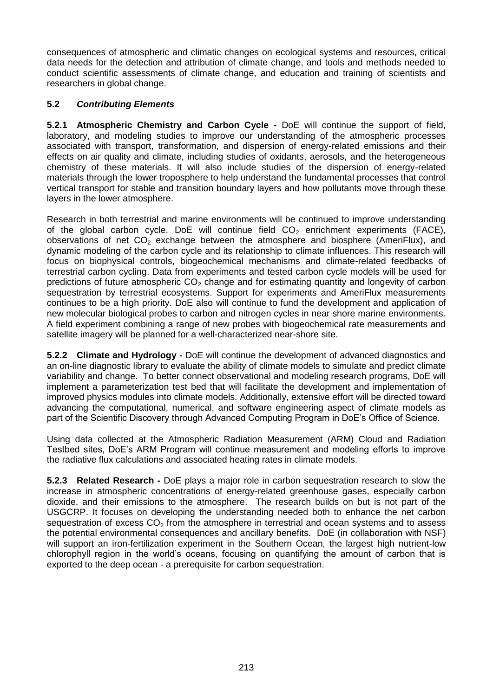consequences of atmospheric and climatic changes on ecological systems and resources, critical data needs for the detection and attribution of climate change, and tools and methods needed to conduct scientific assessments of climate change, and education and training of scientists and researchers in global change.

# **5.2** *Contributing Elements*

**5.2.1 Atmospheric Chemistry and Carbon Cycle -** DoE will continue the support of field, laboratory, and modeling studies to improve our understanding of the atmospheric processes associated with transport, transformation, and dispersion of energy-related emissions and their effects on air quality and climate, including studies of oxidants, aerosols, and the heterogeneous chemistry of these materials. It will also include studies of the dispersion of energy-related materials through the lower troposphere to help understand the fundamental processes that control vertical transport for stable and transition boundary layers and how pollutants move through these layers in the lower atmosphere.

Research in both terrestrial and marine environments will be continued to improve understanding of the global carbon cycle. DoE will continue field  $CO<sub>2</sub>$  enrichment experiments (FACE), observations of net  $CO<sub>2</sub>$  exchange between the atmosphere and biosphere (AmeriFlux), and dynamic modeling of the carbon cycle and its relationship to climate influences. This research will focus on biophysical controls, biogeochemical mechanisms and climate-related feedbacks of terrestrial carbon cycling. Data from experiments and tested carbon cycle models will be used for predictions of future atmospheric  $CO<sub>2</sub>$  change and for estimating quantity and longevity of carbon sequestration by terrestrial ecosystems. Support for experiments and AmeriFlux measurements continues to be a high priority. DoE also will continue to fund the development and application of new molecular biological probes to carbon and nitrogen cycles in near shore marine environments. A field experiment combining a range of new probes with biogeochemical rate measurements and satellite imagery will be planned for a well-characterized near-shore site.

**5.2.2 Climate and Hydrology -** DoE will continue the development of advanced diagnostics and an on-line diagnostic library to evaluate the ability of climate models to simulate and predict climate variability and change. To better connect observational and modeling research programs, DoE will implement a parameterization test bed that will facilitate the development and implementation of improved physics modules into climate models. Additionally, extensive effort will be directed toward advancing the computational, numerical, and software engineering aspect of climate models as part of the Scientific Discovery through Advanced Computing Program in DoE's Office of Science.

Using data collected at the Atmospheric Radiation Measurement (ARM) Cloud and Radiation Testbed sites, DoE's ARM Program will continue measurement and modeling efforts to improve the radiative flux calculations and associated heating rates in climate models.

**5.2.3 Related Research -** DoE plays a major role in carbon sequestration research to slow the increase in atmospheric concentrations of energy-related greenhouse gases, especially carbon dioxide, and their emissions to the atmosphere. The research builds on but is not part of the USGCRP. It focuses on developing the understanding needed both to enhance the net carbon sequestration of excess  $CO<sub>2</sub>$  from the atmosphere in terrestrial and ocean systems and to assess the potential environmental consequences and ancillary benefits. DoE (in collaboration with NSF) will support an iron-fertilization experiment in the Southern Ocean, the largest high nutrient-low chlorophyll region in the world's oceans, focusing on quantifying the amount of carbon that is exported to the deep ocean - a prerequisite for carbon sequestration.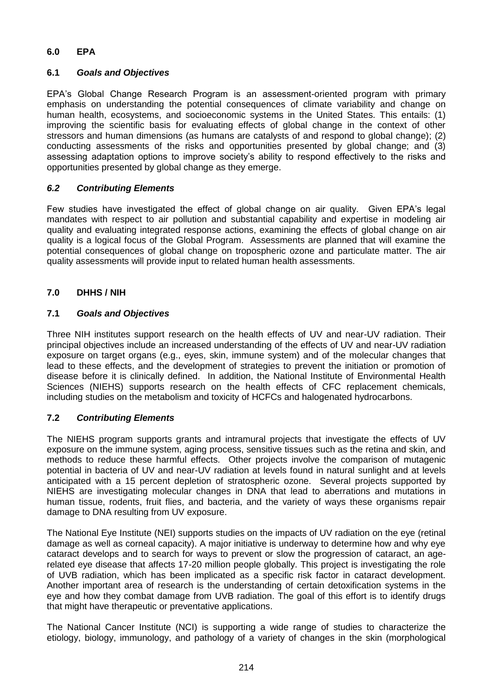# **6.0 EPA**

## **6.1** *Goals and Objectives*

EPA's Global Change Research Program is an assessment-oriented program with primary emphasis on understanding the potential consequences of climate variability and change on human health, ecosystems, and socioeconomic systems in the United States. This entails: (1) improving the scientific basis for evaluating effects of global change in the context of other stressors and human dimensions (as humans are catalysts of and respond to global change); (2) conducting assessments of the risks and opportunities presented by global change; and (3) assessing adaptation options to improve society's ability to respond effectively to the risks and opportunities presented by global change as they emerge.

## *6.2 Contributing Elements*

Few studies have investigated the effect of global change on air quality. Given EPA's legal mandates with respect to air pollution and substantial capability and expertise in modeling air quality and evaluating integrated response actions, examining the effects of global change on air quality is a logical focus of the Global Program. Assessments are planned that will examine the potential consequences of global change on tropospheric ozone and particulate matter. The air quality assessments will provide input to related human health assessments.

## **7.0 DHHS / NIH**

## **7.1** *Goals and Objectives*

Three NIH institutes support research on the health effects of UV and near-UV radiation. Their principal objectives include an increased understanding of the effects of UV and near-UV radiation exposure on target organs (e.g., eyes, skin, immune system) and of the molecular changes that lead to these effects, and the development of strategies to prevent the initiation or promotion of disease before it is clinically defined. In addition, the National Institute of Environmental Health Sciences (NIEHS) supports research on the health effects of CFC replacement chemicals, including studies on the metabolism and toxicity of HCFCs and halogenated hydrocarbons.

# **7.2** *Contributing Elements*

The NIEHS program supports grants and intramural projects that investigate the effects of UV exposure on the immune system, aging process, sensitive tissues such as the retina and skin, and methods to reduce these harmful effects. Other projects involve the comparison of mutagenic potential in bacteria of UV and near-UV radiation at levels found in natural sunlight and at levels anticipated with a 15 percent depletion of stratospheric ozone. Several projects supported by NIEHS are investigating molecular changes in DNA that lead to aberrations and mutations in human tissue, rodents, fruit flies, and bacteria, and the variety of ways these organisms repair damage to DNA resulting from UV exposure.

The National Eye Institute (NEI) supports studies on the impacts of UV radiation on the eye (retinal damage as well as corneal capacity). A major initiative is underway to determine how and why eye cataract develops and to search for ways to prevent or slow the progression of cataract, an agerelated eye disease that affects 17-20 million people globally. This project is investigating the role of UVB radiation, which has been implicated as a specific risk factor in cataract development. Another important area of research is the understanding of certain detoxification systems in the eye and how they combat damage from UVB radiation. The goal of this effort is to identify drugs that might have therapeutic or preventative applications.

The National Cancer Institute (NCI) is supporting a wide range of studies to characterize the etiology, biology, immunology, and pathology of a variety of changes in the skin (morphological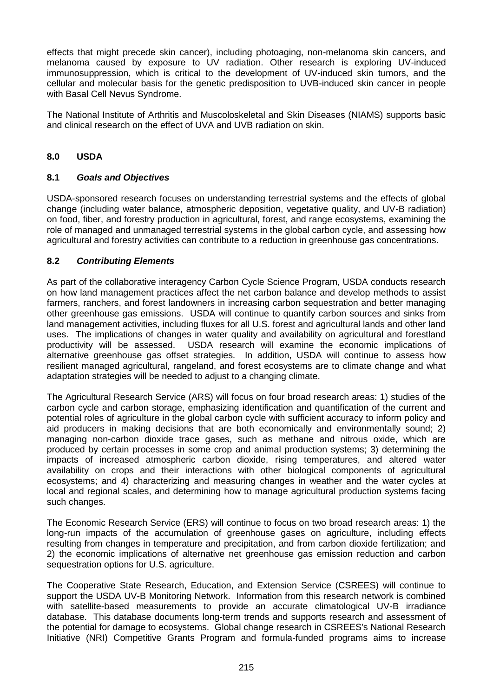effects that might precede skin cancer), including photoaging, non-melanoma skin cancers, and melanoma caused by exposure to UV radiation. Other research is exploring UV-induced immunosuppression, which is critical to the development of UV-induced skin tumors, and the cellular and molecular basis for the genetic predisposition to UVB-induced skin cancer in people with Basal Cell Nevus Syndrome.

The National Institute of Arthritis and Muscoloskeletal and Skin Diseases (NIAMS) supports basic and clinical research on the effect of UVA and UVB radiation on skin.

## **8.0 USDA**

#### **8.1** *Goals and Objectives*

USDA-sponsored research focuses on understanding terrestrial systems and the effects of global change (including water balance, atmospheric deposition, vegetative quality, and UV-B radiation) on food, fiber, and forestry production in agricultural, forest, and range ecosystems, examining the role of managed and unmanaged terrestrial systems in the global carbon cycle, and assessing how agricultural and forestry activities can contribute to a reduction in greenhouse gas concentrations.

#### **8.2** *Contributing Elements*

As part of the collaborative interagency Carbon Cycle Science Program, USDA conducts research on how land management practices affect the net carbon balance and develop methods to assist farmers, ranchers, and forest landowners in increasing carbon sequestration and better managing other greenhouse gas emissions. USDA will continue to quantify carbon sources and sinks from land management activities, including fluxes for all U.S. forest and agricultural lands and other land uses. The implications of changes in water quality and availability on agricultural and forestland productivity will be assessed. USDA research will examine the economic implications of alternative greenhouse gas offset strategies. In addition, USDA will continue to assess how resilient managed agricultural, rangeland, and forest ecosystems are to climate change and what adaptation strategies will be needed to adjust to a changing climate.

The Agricultural Research Service (ARS) will focus on four broad research areas: 1) studies of the carbon cycle and carbon storage, emphasizing identification and quantification of the current and potential roles of agriculture in the global carbon cycle with sufficient accuracy to inform policy and aid producers in making decisions that are both economically and environmentally sound; 2) managing non-carbon dioxide trace gases, such as methane and nitrous oxide, which are produced by certain processes in some crop and animal production systems; 3) determining the impacts of increased atmospheric carbon dioxide, rising temperatures, and altered water availability on crops and their interactions with other biological components of agricultural ecosystems; and 4) characterizing and measuring changes in weather and the water cycles at local and regional scales, and determining how to manage agricultural production systems facing such changes.

The Economic Research Service (ERS) will continue to focus on two broad research areas: 1) the long-run impacts of the accumulation of greenhouse gases on agriculture, including effects resulting from changes in temperature and precipitation, and from carbon dioxide fertilization; and 2) the economic implications of alternative net greenhouse gas emission reduction and carbon sequestration options for U.S. agriculture.

The Cooperative State Research, Education, and Extension Service (CSREES) will continue to support the USDA UV-B Monitoring Network. Information from this research network is combined with satellite-based measurements to provide an accurate climatological UV-B irradiance database. This database documents long-term trends and supports research and assessment of the potential for damage to ecosystems. Global change research in CSREES's National Research Initiative (NRI) Competitive Grants Program and formula-funded programs aims to increase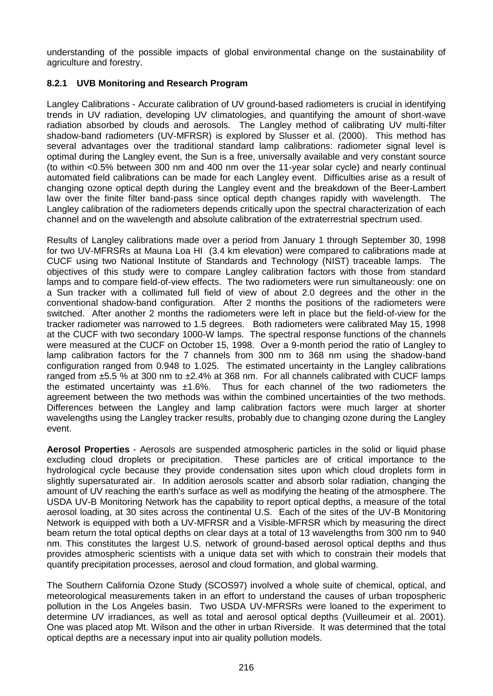understanding of the possible impacts of global environmental change on the sustainability of agriculture and forestry.

# **8.2.1 UVB Monitoring and Research Program**

Langley Calibrations - Accurate calibration of UV ground-based radiometers is crucial in identifying trends in UV radiation, developing UV climatologies, and quantifying the amount of short-wave radiation absorbed by clouds and aerosols. The Langley method of calibrating UV multi-filter shadow-band radiometers (UV-MFRSR) is explored by Slusser et al. (2000). This method has several advantages over the traditional standard lamp calibrations: radiometer signal level is optimal during the Langley event, the Sun is a free, universally available and very constant source (to within <0.5% between 300 nm and 400 nm over the 11-year solar cycle) and nearly continual automated field calibrations can be made for each Langley event. Difficulties arise as a result of changing ozone optical depth during the Langley event and the breakdown of the Beer-Lambert law over the finite filter band-pass since optical depth changes rapidly with wavelength. The Langley calibration of the radiometers depends critically upon the spectral characterization of each channel and on the wavelength and absolute calibration of the extraterrestrial spectrum used.

Results of Langley calibrations made over a period from January 1 through September 30, 1998 for two UV-MFRSRs at Mauna Loa HI (3.4 km elevation) were compared to calibrations made at CUCF using two National Institute of Standards and Technology (NIST) traceable lamps. The objectives of this study were to compare Langley calibration factors with those from standard lamps and to compare field-of-view effects. The two radiometers were run simultaneously: one on a Sun tracker with a collimated full field of view of about 2.0 degrees and the other in the conventional shadow-band configuration. After 2 months the positions of the radiometers were switched. After another 2 months the radiometers were left in place but the field-of-view for the tracker radiometer was narrowed to 1.5 degrees. Both radiometers were calibrated May 15, 1998 at the CUCF with two secondary 1000-W lamps. The spectral response functions of the channels were measured at the CUCF on October 15, 1998. Over a 9-month period the ratio of Langley to lamp calibration factors for the 7 channels from 300 nm to 368 nm using the shadow-band configuration ranged from 0.948 to 1.025. The estimated uncertainty in the Langley calibrations ranged from  $\pm$ 5.5 % at 300 nm to  $\pm$ 2.4% at 368 nm. For all channels calibrated with CUCF lamps the estimated uncertainty was ±1.6%. Thus for each channel of the two radiometers the agreement between the two methods was within the combined uncertainties of the two methods. Differences between the Langley and lamp calibration factors were much larger at shorter wavelengths using the Langley tracker results, probably due to changing ozone during the Langley event.

**Aerosol Properties** - Aerosols are suspended atmospheric particles in the solid or liquid phase excluding cloud droplets or precipitation. These particles are of critical importance to the hydrological cycle because they provide condensation sites upon which cloud droplets form in slightly supersaturated air. In addition aerosols scatter and absorb solar radiation, changing the amount of UV reaching the earth's surface as well as modifying the heating of the atmosphere. The USDA UV-B Monitoring Network has the capability to report optical depths, a measure of the total aerosol loading, at 30 sites across the continental U.S. Each of the sites of the UV-B Monitoring Network is equipped with both a UV-MFRSR and a Visible-MFRSR which by measuring the direct beam return the total optical depths on clear days at a total of 13 wavelengths from 300 nm to 940 nm. This constitutes the largest U.S. network of ground-based aerosol optical depths and thus provides atmospheric scientists with a unique data set with which to constrain their models that quantify precipitation processes, aerosol and cloud formation, and global warming.

The Southern California Ozone Study (SCOS97) involved a whole suite of chemical, optical, and meteorological measurements taken in an effort to understand the causes of urban tropospheric pollution in the Los Angeles basin. Two USDA UV-MFRSRs were loaned to the experiment to determine UV irradiances, as well as total and aerosol optical depths (Vuilleumeir et al. 2001). One was placed atop Mt. Wilson and the other in urban Riverside. It was determined that the total optical depths are a necessary input into air quality pollution models.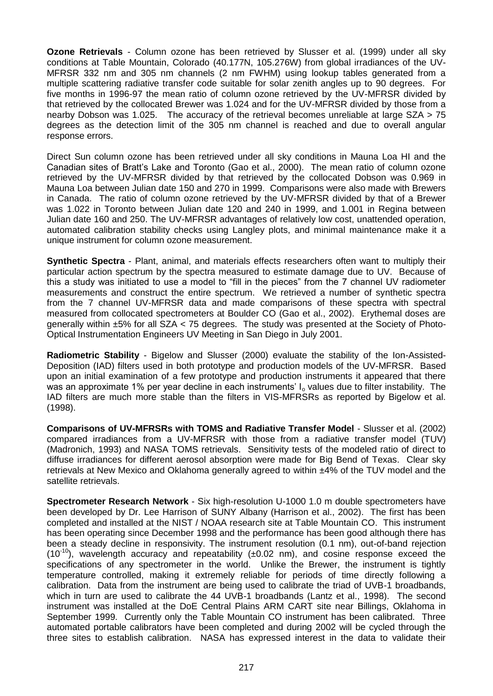**Ozone Retrievals** - Column ozone has been retrieved by Slusser et al. (1999) under all sky conditions at Table Mountain, Colorado (40.177N, 105.276W) from global irradiances of the UV-MFRSR 332 nm and 305 nm channels (2 nm FWHM) using lookup tables generated from a multiple scattering radiative transfer code suitable for solar zenith angles up to 90 degrees. For five months in 1996-97 the mean ratio of column ozone retrieved by the UV-MFRSR divided by that retrieved by the collocated Brewer was 1.024 and for the UV-MFRSR divided by those from a nearby Dobson was 1.025. The accuracy of the retrieval becomes unreliable at large SZA > 75 degrees as the detection limit of the 305 nm channel is reached and due to overall angular response errors.

Direct Sun column ozone has been retrieved under all sky conditions in Mauna Loa HI and the Canadian sites of Bratt's Lake and Toronto (Gao et al., 2000). The mean ratio of column ozone retrieved by the UV-MFRSR divided by that retrieved by the collocated Dobson was 0.969 in Mauna Loa between Julian date 150 and 270 in 1999. Comparisons were also made with Brewers in Canada. The ratio of column ozone retrieved by the UV-MFRSR divided by that of a Brewer was 1.022 in Toronto between Julian date 120 and 240 in 1999, and 1.001 in Regina between Julian date 160 and 250. The UV-MFRSR advantages of relatively low cost, unattended operation, automated calibration stability checks using Langley plots, and minimal maintenance make it a unique instrument for column ozone measurement.

**Synthetic Spectra** - Plant, animal, and materials effects researchers often want to multiply their particular action spectrum by the spectra measured to estimate damage due to UV. Because of this a study was initiated to use a model to "fill in the pieces" from the 7 channel UV radiometer measurements and construct the entire spectrum. We retrieved a number of synthetic spectra from the 7 channel UV-MFRSR data and made comparisons of these spectra with spectral measured from collocated spectrometers at Boulder CO (Gao et al., 2002). Erythemal doses are generally within ±5% for all SZA < 75 degrees. The study was presented at the Society of Photo-Optical Instrumentation Engineers UV Meeting in San Diego in July 2001.

**Radiometric Stability** - Bigelow and Slusser (2000) evaluate the stability of the Ion-Assisted-Deposition (IAD) filters used in both prototype and production models of the UV-MFRSR. Based upon an initial examination of a few prototype and production instruments it appeared that there was an approximate 1% per year decline in each instruments' I<sub>o</sub> values due to filter instability. The IAD filters are much more stable than the filters in VIS-MFRSRs as reported by Bigelow et al. (1998).

**Comparisons of UV-MFRSRs with TOMS and Radiative Transfer Model** - Slusser et al. (2002) compared irradiances from a UV-MFRSR with those from a radiative transfer model (TUV) (Madronich, 1993) and NASA TOMS retrievals. Sensitivity tests of the modeled ratio of direct to diffuse irradiances for different aerosol absorption were made for Big Bend of Texas. Clear sky retrievals at New Mexico and Oklahoma generally agreed to within ±4% of the TUV model and the satellite retrievals.

**Spectrometer Research Network** - Six high-resolution U-1000 1.0 m double spectrometers have been developed by Dr. Lee Harrison of SUNY Albany (Harrison et al., 2002). The first has been completed and installed at the NIST / NOAA research site at Table Mountain CO. This instrument has been operating since December 1998 and the performance has been good although there has been a steady decline in responsivity. The instrument resolution (0.1 nm), out-of-band rejection  $(10^{-10})$ , wavelength accuracy and repeatability ( $\pm 0.02$  nm), and cosine response exceed the specifications of any spectrometer in the world. Unlike the Brewer, the instrument is tightly temperature controlled, making it extremely reliable for periods of time directly following a calibration. Data from the instrument are being used to calibrate the triad of UVB-1 broadbands, which in turn are used to calibrate the 44 UVB-1 broadbands (Lantz et al., 1998). The second instrument was installed at the DoE Central Plains ARM CART site near Billings, Oklahoma in September 1999. Currently only the Table Mountain CO instrument has been calibrated. Three automated portable calibrators have been completed and during 2002 will be cycled through the three sites to establish calibration. NASA has expressed interest in the data to validate their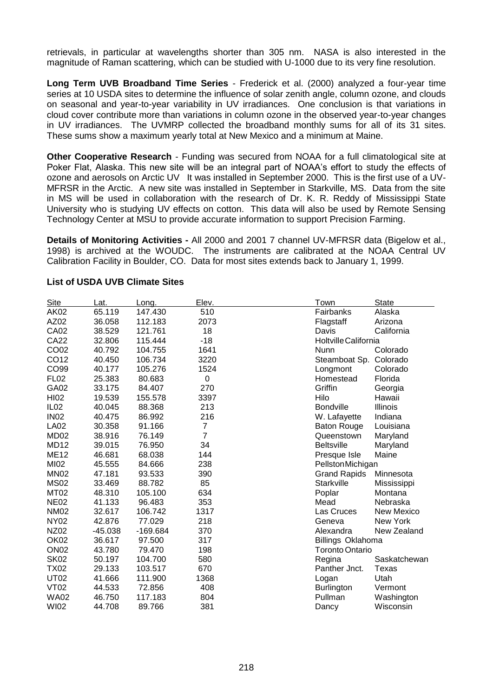retrievals, in particular at wavelengths shorter than 305 nm. NASA is also interested in the magnitude of Raman scattering, which can be studied with U-1000 due to its very fine resolution.

**Long Term UVB Broadband Time Series** - Frederick et al. (2000) analyzed a four-year time series at 10 USDA sites to determine the influence of solar zenith angle, column ozone, and clouds on seasonal and year-to-year variability in UV irradiances. One conclusion is that variations in cloud cover contribute more than variations in column ozone in the observed year-to-year changes in UV irradiances. The UVMRP collected the broadband monthly sums for all of its 31 sites. These sums show a maximum yearly total at New Mexico and a minimum at Maine.

**Other Cooperative Research** - Funding was secured from NOAA for a full climatological site at Poker Flat, Alaska. This new site will be an integral part of NOAA's effort to study the effects of ozone and aerosols on Arctic UV It was installed in September 2000. This is the first use of a UV-MFRSR in the Arctic. A new site was installed in September in Starkville, MS. Data from the site in MS will be used in collaboration with the research of Dr. K. R. Reddy of Mississippi State University who is studying UV effects on cotton. This data will also be used by Remote Sensing Technology Center at MSU to provide accurate information to support Precision Farming.

**Details of Monitoring Activities -** All 2000 and 2001 7 channel UV-MFRSR data (Bigelow et al., 1998) is archived at the WOUDC. The instruments are calibrated at the NOAA Central UV Calibration Facility in Boulder, CO. Data for most sites extends back to January 1, 1999.

| Site             | _at.      | Long.      | Elev.          | <b>State</b><br>Town                |
|------------------|-----------|------------|----------------|-------------------------------------|
| AK02             | 65.119    | 147.430    | 510            | Fairbanks<br>Alaska                 |
| AZ02             | 36.058    | 112.183    | 2073           | Arizona<br>Flagstaff                |
| <b>CA02</b>      | 38.529    | 121.761    | 18             | California<br>Davis                 |
| <b>CA22</b>      | 32.806    | 115.444    | $-18$          | Holtville California                |
| CO02             | 40.792    | 104.755    | 1641           | Colorado<br><b>Nunn</b>             |
| CO12             | 40.450    | 106.734    | 3220           | Steamboat Sp.<br>Colorado           |
| CO99             | 40.177    | 105.276    | 1524           | Longmont<br>Colorado                |
| <b>FL02</b>      | 25.383    | 80.683     | $\mathbf 0$    | Homestead<br>Florida                |
| GA02             | 33.175    | 84.407     | 270            | Griffin<br>Georgia                  |
| <b>HI02</b>      | 19.539    | 155.578    | 3397           | Hilo<br>Hawaii                      |
| IL <sub>02</sub> | 40.045    | 88.368     | 213            | <b>Bondville</b><br><b>Illinois</b> |
| <b>IN02</b>      | 40.475    | 86.992     | 216            | Indiana<br>W. Lafayette             |
| <b>LA02</b>      | 30.358    | 91.166     | 7              | Louisiana<br><b>Baton Rouge</b>     |
| MD <sub>02</sub> | 38.916    | 76.149     | $\overline{7}$ | Queenstown<br>Maryland              |
| <b>MD12</b>      | 39.015    | 76.950     | 34             | <b>Beltsville</b><br>Maryland       |
| <b>ME12</b>      | 46.681    | 68.038     | 144            | Maine<br>Presque Isle               |
| MI02             | 45.555    | 84.666     | 238            | PellstonMichigan                    |
| <b>MN02</b>      | 47.181    | 93.533     | 390            | <b>Grand Rapids</b><br>Minnesota    |
| <b>MS02</b>      | 33.469    | 88.782     | 85             | <b>Starkville</b><br>Mississippi    |
| <b>MT02</b>      | 48.310    | 105.100    | 634            | Poplar<br>Montana                   |
| <b>NE02</b>      | 41.133    | 96.483     | 353            | Mead<br>Nebraska                    |
| <b>NM02</b>      | 32.617    | 106.742    | 1317           | Las Cruces<br><b>New Mexico</b>     |
| <b>NY02</b>      | 42.876    | 77.029     | 218            | New York<br>Geneva                  |
| <b>NZ02</b>      | $-45.038$ | $-169.684$ | 370            | New Zealand<br>Alexandra            |
| OK02             | 36.617    | 97.500     | 317            | Billings Oklahoma                   |
| <b>ON02</b>      | 43.780    | 79.470     | 198            | <b>Toronto Ontario</b>              |
| <b>SK02</b>      | 50.197    | 104.700    | 580            | Regina<br>Saskatchewan              |
| <b>TX02</b>      | 29.133    | 103.517    | 670            | Panther Jnct.<br>Texas              |
| <b>UT02</b>      | 41.666    | 111.900    | 1368           | Utah<br>Logan                       |
| <b>VT02</b>      | 44.533    | 72.856     | 408            | <b>Burlington</b><br>Vermont        |
| <b>WA02</b>      | 46.750    | 117.183    | 804            | Pullman<br>Washington               |
| <b>WI02</b>      | 44.708    | 89.766     | 381            | Wisconsin<br>Dancy                  |

#### **List of USDA UVB Climate Sites**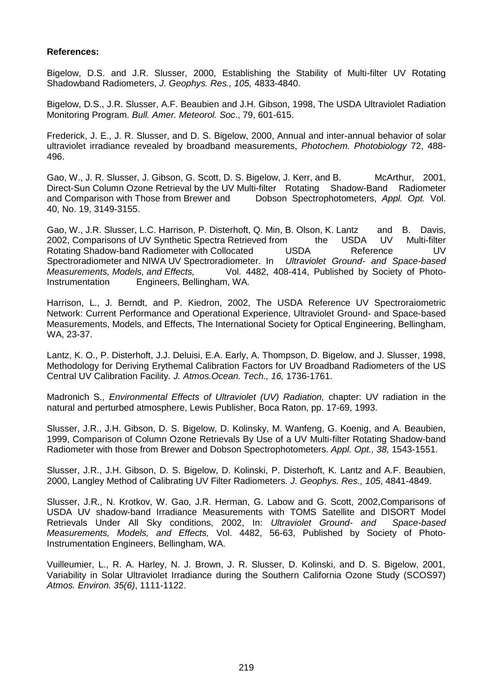#### **References:**

Bigelow, D.S. and J.R. Slusser, 2000, Establishing the Stability of Multi-filter UV Rotating Shadowband Radiometers, *J. Geophys. Res., 105,* 4833-4840.

Bigelow, D.S., J.R. Slusser, A.F. Beaubien and J.H. Gibson, 1998, The USDA Ultraviolet Radiation Monitoring Program. *Bull. Amer. Meteorol. Soc*., 79, 601-615.

Frederick, J. E., J. R. Slusser, and D. S. Bigelow, 2000, Annual and inter-annual behavior of solar ultraviolet irradiance revealed by broadband measurements, *Photochem. Photobiology* 72, 488- 496.

Gao, W., J. R. Slusser, J. Gibson, G. Scott, D. S. Bigelow, J. Kerr, and B. McArthur, 2001, Direct-Sun Column Ozone Retrieval by the UV Multi-filter Rotating Shadow-Band Radiometer and Comparison with Those from Brewer and Dobson Spectrophotometers, Appl. Opt. Vol. Dobson Spectrophotometers, Appl. Opt. Vol. 40, No. 19, 3149-3155.

Gao, W., J.R. Slusser, L.C. Harrison, P. Disterhoft, Q. Min, B. Olson, K. Lantz and B. Davis, 2002, Comparisons of UV Synthetic Spectra Retrieved from the USDA UV Multi-filter Rotating Shadow-band Radiometer with Collocated USDA Reference UV Spectroradiometer and NIWA UV Spectroradiometer. In *Ultraviolet Ground- and Space-based Measurements, Models, and Effects,* Vol. 4482, 408-414, Published by Society of Photo-Instrumentation Engineers, Bellingham, WA.

Harrison, L., J. Berndt, and P. Kiedron, 2002, The USDA Reference UV Spectroraiometric Network: Current Performance and Operational Experience, Ultraviolet Ground- and Space-based Measurements, Models, and Effects, The International Society for Optical Engineering, Bellingham, WA, 23-37.

Lantz, K. O., P. Disterhoft, J.J. Deluisi, E.A. Early, A. Thompson, D. Bigelow, and J. Slusser, 1998, Methodology for Deriving Erythemal Calibration Factors for UV Broadband Radiometers of the US Central UV Calibration Facility. *J. Atmos.Ocean. Tech., 16,* 1736-1761.

Madronich S., *Environmental Effects of Ultraviolet (UV) Radiation,* chapter: UV radiation in the natural and perturbed atmosphere, Lewis Publisher, Boca Raton, pp. 17-69, 1993.

Slusser, J.R., J.H. Gibson, D. S. Bigelow, D. Kolinsky, M. Wanfeng, G. Koenig, and A. Beaubien, 1999, Comparison of Column Ozone Retrievals By Use of a UV Multi-filter Rotating Shadow-band Radiometer with those from Brewer and Dobson Spectrophotometers. *Appl. Opt., 38,* 1543-1551.

Slusser, J.R., J.H. Gibson, D. S. Bigelow, D. Kolinski, P. Disterhoft, K. Lantz and A.F. Beaubien, 2000, Langley Method of Calibrating UV Filter Radiometers. *J. Geophys. Res., 105*, 4841-4849.

Slusser, J.R., N. Krotkov, W. Gao, J.R. Herman, G. Labow and G. Scott, 2002,Comparisons of USDA UV shadow-band Irradiance Measurements with TOMS Satellite and DISORT Model Retrievals Under All Sky conditions, 2002, In: *Ultraviolet Ground- and Space-based Measurements, Models, and Effects,* Vol. 4482, 56-63, Published by Society of Photo-Instrumentation Engineers, Bellingham, WA.

Vuilleumier, L., R. A. Harley, N. J. Brown, J. R. Slusser, D. Kolinski, and D. S. Bigelow, 2001, Variability in Solar Ultraviolet Irradiance during the Southern California Ozone Study (SCOS97) *Atmos. Environ. 35(6)*, 1111-1122.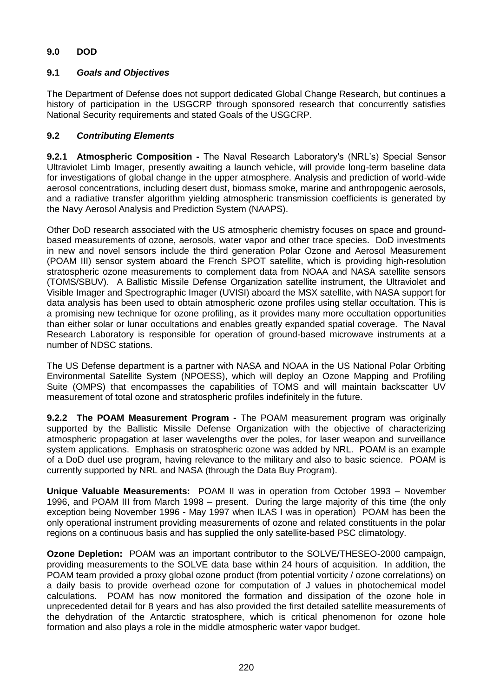# **9.0 DOD**

## **9.1** *Goals and Objectives*

The Department of Defense does not support dedicated Global Change Research, but continues a history of participation in the USGCRP through sponsored research that concurrently satisfies National Security requirements and stated Goals of the USGCRP.

## **9.2** *Contributing Elements*

**9.2.1 Atmospheric Composition -** The Naval Research Laboratory's (NRL's) Special Sensor Ultraviolet Limb Imager, presently awaiting a launch vehicle, will provide long-term baseline data for investigations of global change in the upper atmosphere. Analysis and prediction of world-wide aerosol concentrations, including desert dust, biomass smoke, marine and anthropogenic aerosols, and a radiative transfer algorithm yielding atmospheric transmission coefficients is generated by the Navy Aerosol Analysis and Prediction System (NAAPS).

Other DoD research associated with the US atmospheric chemistry focuses on space and groundbased measurements of ozone, aerosols, water vapor and other trace species. DoD investments in new and novel sensors include the third generation Polar Ozone and Aerosol Measurement (POAM III) sensor system aboard the French SPOT satellite, which is providing high-resolution stratospheric ozone measurements to complement data from NOAA and NASA satellite sensors (TOMS/SBUV). A Ballistic Missile Defense Organization satellite instrument, the Ultraviolet and Visible Imager and Spectrographic Imager (UVISI) aboard the MSX satellite, with NASA support for data analysis has been used to obtain atmospheric ozone profiles using stellar occultation. This is a promising new technique for ozone profiling, as it provides many more occultation opportunities than either solar or lunar occultations and enables greatly expanded spatial coverage. The Naval Research Laboratory is responsible for operation of ground-based microwave instruments at a number of NDSC stations.

The US Defense department is a partner with NASA and NOAA in the US National Polar Orbiting Environmental Satellite System (NPOESS), which will deploy an Ozone Mapping and Profiling Suite (OMPS) that encompasses the capabilities of TOMS and will maintain backscatter UV measurement of total ozone and stratospheric profiles indefinitely in the future.

**9.2.2 The POAM Measurement Program -** The POAM measurement program was originally supported by the Ballistic Missile Defense Organization with the objective of characterizing atmospheric propagation at laser wavelengths over the poles, for laser weapon and surveillance system applications. Emphasis on stratospheric ozone was added by NRL. POAM is an example of a DoD duel use program, having relevance to the military and also to basic science. POAM is currently supported by NRL and NASA (through the Data Buy Program).

**Unique Valuable Measurements:** POAM II was in operation from October 1993 – November 1996, and POAM III from March 1998 – present. During the large majority of this time (the only exception being November 1996 - May 1997 when ILAS I was in operation) POAM has been the only operational instrument providing measurements of ozone and related constituents in the polar regions on a continuous basis and has supplied the only satellite-based PSC climatology.

**Ozone Depletion:** POAM was an important contributor to the SOLVE/THESEO-2000 campaign, providing measurements to the SOLVE data base within 24 hours of acquisition. In addition, the POAM team provided a proxy global ozone product (from potential vorticity / ozone correlations) on a daily basis to provide overhead ozone for computation of J values in photochemical model calculations. POAM has now monitored the formation and dissipation of the ozone hole in unprecedented detail for 8 years and has also provided the first detailed satellite measurements of the dehydration of the Antarctic stratosphere, which is critical phenomenon for ozone hole formation and also plays a role in the middle atmospheric water vapor budget.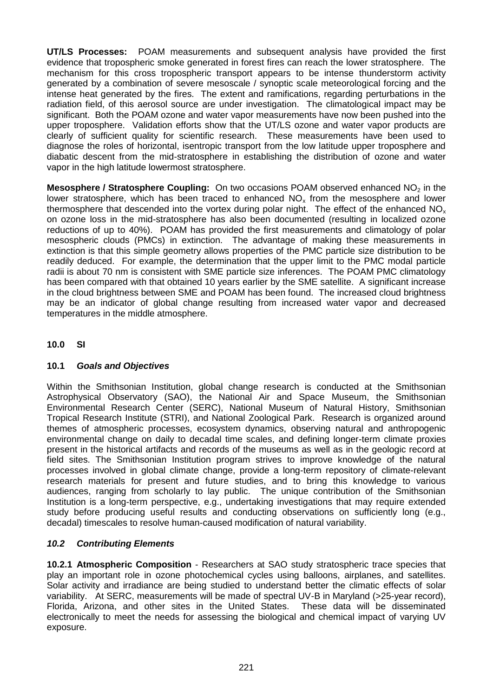**UT/LS Processes:** POAM measurements and subsequent analysis have provided the first evidence that tropospheric smoke generated in forest fires can reach the lower stratosphere. The mechanism for this cross tropospheric transport appears to be intense thunderstorm activity generated by a combination of severe mesoscale / synoptic scale meteorological forcing and the intense heat generated by the fires. The extent and ramifications, regarding perturbations in the radiation field, of this aerosol source are under investigation. The climatological impact may be significant. Both the POAM ozone and water vapor measurements have now been pushed into the upper troposphere. Validation efforts show that the UT/LS ozone and water vapor products are clearly of sufficient quality for scientific research. These measurements have been used to diagnose the roles of horizontal, isentropic transport from the low latitude upper troposphere and diabatic descent from the mid-stratosphere in establishing the distribution of ozone and water vapor in the high latitude lowermost stratosphere.

**Mesosphere / Stratosphere Coupling:** On two occasions POAM observed enhanced NO<sub>2</sub> in the lower stratosphere, which has been traced to enhanced  $NO<sub>x</sub>$  from the mesosphere and lower thermosphere that descended into the vortex during polar night. The effect of the enhanced  $NO<sub>x</sub>$ on ozone loss in the mid-stratosphere has also been documented (resulting in localized ozone reductions of up to 40%). POAM has provided the first measurements and climatology of polar mesospheric clouds (PMCs) in extinction. The advantage of making these measurements in extinction is that this simple geometry allows properties of the PMC particle size distribution to be readily deduced. For example, the determination that the upper limit to the PMC modal particle radii is about 70 nm is consistent with SME particle size inferences. The POAM PMC climatology has been compared with that obtained 10 years earlier by the SME satellite. A significant increase in the cloud brightness between SME and POAM has been found. The increased cloud brightness may be an indicator of global change resulting from increased water vapor and decreased temperatures in the middle atmosphere.

# **10.0 SI**

# **10.1** *Goals and Objectives*

Within the Smithsonian Institution, global change research is conducted at the Smithsonian Astrophysical Observatory (SAO), the National Air and Space Museum, the Smithsonian Environmental Research Center (SERC), National Museum of Natural History, Smithsonian Tropical Research Institute (STRI), and National Zoological Park. Research is organized around themes of atmospheric processes, ecosystem dynamics, observing natural and anthropogenic environmental change on daily to decadal time scales, and defining longer-term climate proxies present in the historical artifacts and records of the museums as well as in the geologic record at field sites. The Smithsonian Institution program strives to improve knowledge of the natural processes involved in global climate change, provide a long-term repository of climate-relevant research materials for present and future studies, and to bring this knowledge to various audiences, ranging from scholarly to lay public. The unique contribution of the Smithsonian Institution is a long-term perspective, e.g., undertaking investigations that may require extended study before producing useful results and conducting observations on sufficiently long (e.g., decadal) timescales to resolve human-caused modification of natural variability.

# *10.2 Contributing Elements*

**10.2.1 Atmospheric Composition** - Researchers at SAO study stratospheric trace species that play an important role in ozone photochemical cycles using balloons, airplanes, and satellites. Solar activity and irradiance are being studied to understand better the climatic effects of solar variability. At SERC, measurements will be made of spectral UV-B in Maryland (>25-year record), Florida, Arizona, and other sites in the United States. These data will be disseminated electronically to meet the needs for assessing the biological and chemical impact of varying UV exposure.